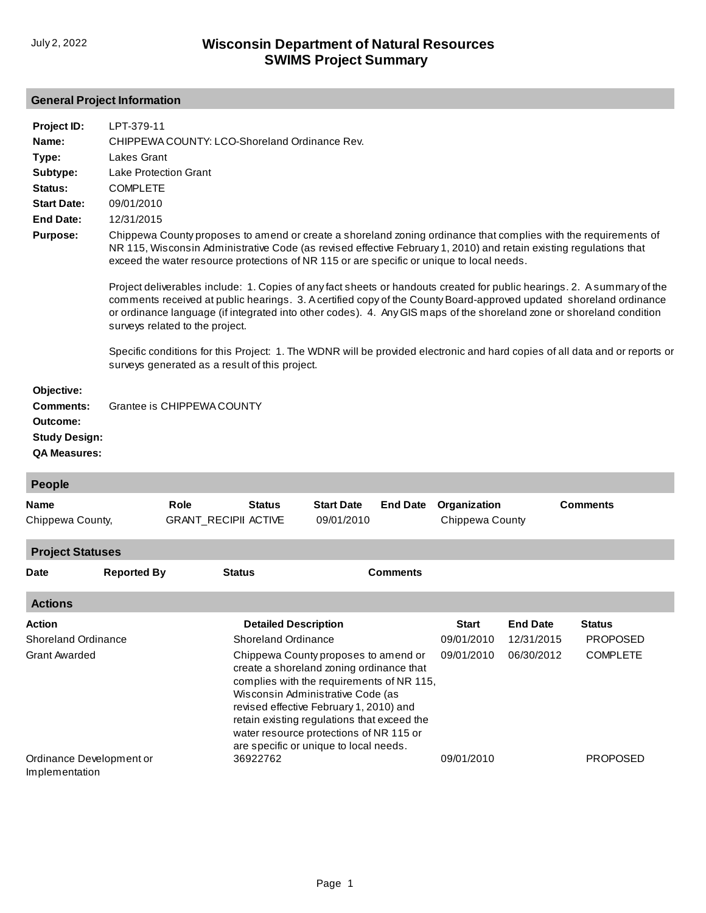# **General Project Information**

| Project ID:<br>Name:<br>Type:<br>Subtype:<br>Status:<br><b>Start Date:</b><br><b>End Date:</b><br><b>Purpose:</b> | LPT-379-11<br>CHIPPEWA COUNTY: LCO-Shoreland Ordinance Rev.<br><b>Lakes Grant</b><br><b>Lake Protection Grant</b><br><b>COMPLETE</b><br>09/01/2010<br>12/31/2015<br>Chippewa County proposes to amend or create a shoreland zoning ordinance that complies with the requirements of<br>NR 115, Wisconsin Administrative Code (as revised effective February 1, 2010) and retain existing regulations that<br>exceed the water resource protections of NR 115 or are specific or unique to local needs.<br>Project deliverables include: 1. Copies of any fact sheets or handouts created for public hearings. 2. A summary of the<br>comments received at public hearings. 3. A certified copy of the County Board-approved updated shoreland ordinance<br>or ordinance language (if integrated into other codes). 4. Any GIS maps of the shoreland zone or shoreland condition<br>surveys related to the project.<br>Specific conditions for this Project: 1. The WDNR will be provided electronic and hard copies of all data and or reports or<br>surveys generated as a result of this project. |
|-------------------------------------------------------------------------------------------------------------------|-----------------------------------------------------------------------------------------------------------------------------------------------------------------------------------------------------------------------------------------------------------------------------------------------------------------------------------------------------------------------------------------------------------------------------------------------------------------------------------------------------------------------------------------------------------------------------------------------------------------------------------------------------------------------------------------------------------------------------------------------------------------------------------------------------------------------------------------------------------------------------------------------------------------------------------------------------------------------------------------------------------------------------------------------------------------------------------------------------|
| Objective:<br><b>Comments:</b><br>Outcome:<br><b>Study Design:</b><br><b>QA Measures:</b>                         | Grantee is CHIPPEWA COUNTY                                                                                                                                                                                                                                                                                                                                                                                                                                                                                                                                                                                                                                                                                                                                                                                                                                                                                                                                                                                                                                                                          |
| <b>People</b>                                                                                                     |                                                                                                                                                                                                                                                                                                                                                                                                                                                                                                                                                                                                                                                                                                                                                                                                                                                                                                                                                                                                                                                                                                     |

| <b>Name</b><br>Chippewa County, |                            | <b>Role</b><br><b>GRANT_RECIPII ACTIVE</b> | <b>Status</b>               | <b>Start Date</b><br>09/01/2010                                                                                                                                                                                                                                                                                                                   | <b>End Date</b> | Organization<br>Chippewa County |                 | <b>Comments</b> |  |
|---------------------------------|----------------------------|--------------------------------------------|-----------------------------|---------------------------------------------------------------------------------------------------------------------------------------------------------------------------------------------------------------------------------------------------------------------------------------------------------------------------------------------------|-----------------|---------------------------------|-----------------|-----------------|--|
| <b>Project Statuses</b>         |                            |                                            |                             |                                                                                                                                                                                                                                                                                                                                                   |                 |                                 |                 |                 |  |
| <b>Date</b>                     | <b>Reported By</b>         | <b>Status</b>                              |                             |                                                                                                                                                                                                                                                                                                                                                   | <b>Comments</b> |                                 |                 |                 |  |
| <b>Actions</b>                  |                            |                                            |                             |                                                                                                                                                                                                                                                                                                                                                   |                 |                                 |                 |                 |  |
| Action                          |                            |                                            | <b>Detailed Description</b> |                                                                                                                                                                                                                                                                                                                                                   |                 | <b>Start</b>                    | <b>End Date</b> | <b>Status</b>   |  |
|                                 | <b>Shoreland Ordinance</b> |                                            | <b>Shoreland Ordinance</b>  |                                                                                                                                                                                                                                                                                                                                                   |                 | 09/01/2010                      | 12/31/2015      | <b>PROPOSED</b> |  |
| Grant Awarded                   |                            |                                            |                             | Chippewa County proposes to amend or<br>create a shoreland zoning ordinance that<br>complies with the requirements of NR 115,<br>Wisconsin Administrative Code (as<br>revised effective February 1, 2010) and<br>retain existing regulations that exceed the<br>water resource protections of NR 115 or<br>are specific or unique to local needs. |                 | 09/01/2010                      | 06/30/2012      | <b>COMPLETE</b> |  |
| Implementation                  | Ordinance Development or   |                                            | 36922762                    |                                                                                                                                                                                                                                                                                                                                                   |                 | 09/01/2010                      |                 | <b>PROPOSED</b> |  |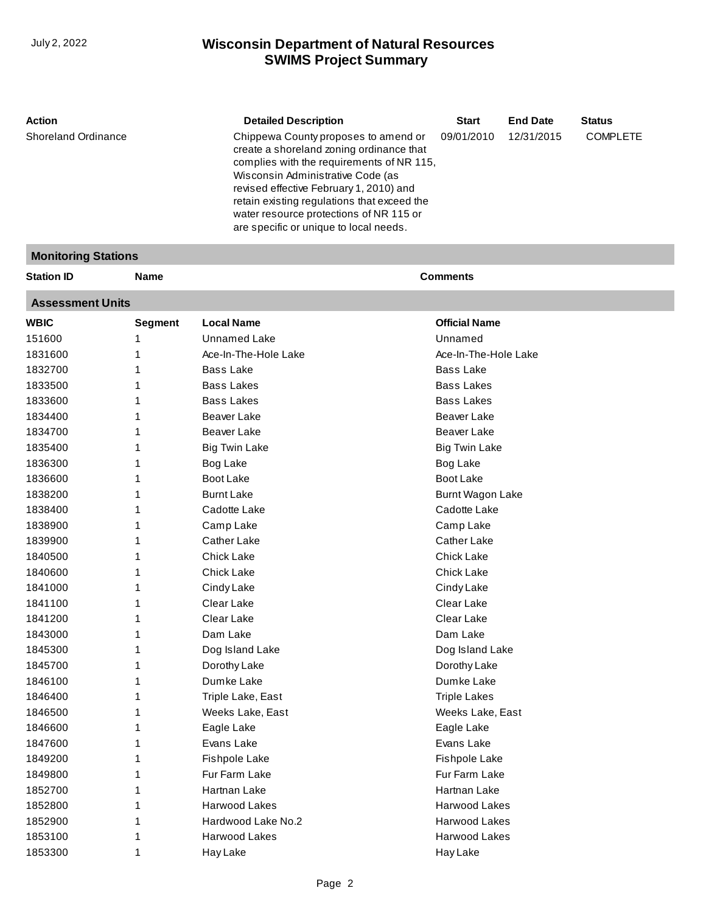**Monitoring Stations**

Dumke Lake [Triple Lake, East](http://prodoasint.dnr.wi.gov/wadrs/viewUnit.do?id=14516) [Weeks Lake, East](http://prodoasint.dnr.wi.gov/wadrs/viewUnit.do?id=16227) Eagle Lake Evans Lake Fishpole Lake Fur Farm Lake Hartnan Lake Harwood Lakes [Hardwood Lake No.2](http://prodoasint.dnr.wi.gov/wadrs/viewUnit.do?id=18654) Harwood Lakes [Hay Lake](http://prodoasint.dnr.wi.gov/wadrs/viewUnit.do?id=27134)

# **SWIMS Project Summary** July 2, 2022 **Wisconsin Department of Natural Resources**

| Action<br><b>Shoreland Ordinance</b> | <b>Detailed Description</b><br>Chippewa County proposes to amend or<br>create a shoreland zoning ordinance that<br>complies with the requirements of NR 115,<br>Wisconsin Administrative Code (as | <b>Start</b><br>09/01/2010 | <b>End Date</b><br>12/31/2015 | <b>Status</b><br><b>COMPLETE</b> |
|--------------------------------------|---------------------------------------------------------------------------------------------------------------------------------------------------------------------------------------------------|----------------------------|-------------------------------|----------------------------------|
|                                      | revised effective February 1, 2010) and<br>retain existing regulations that exceed the<br>water resource protections of NR 115 or<br>are specific or unique to local needs.                       |                            |                               |                                  |

#### **Assessment Units WBIC Segment Local Name Official Name** 151600 1831600 1832700 1833500 1833600 1834400 1834700 1835400 1836300 1836600 1838200 1838400 1838900 1839900 1840500 1840600 1841000 1841100 1841200 1843000 1845300 1845700 1 1 1 1 1 1 1 1 1 1 1 1 1 1 1 1 1 1 1 1 1 1 [Unnamed Lake](http://prodoasint.dnr.wi.gov/wadrs/viewUnit.do?id=4705817) [Ace-In-The-Hole Lake](http://prodoasint.dnr.wi.gov/wadrs/viewUnit.do?id=426566) Bass Lake [Bass Lakes](http://prodoasint.dnr.wi.gov/wadrs/viewUnit.do?id=426591) [Bass Lakes](http://prodoasint.dnr.wi.gov/wadrs/viewUnit.do?id=426597) Beaver Lake Beaver Lake Big Twin Lake Bog Lake Boot Lake Burnt Lake Cadotte Lake Camp Lake Cather Lake Chick Lake Chick Lake Cindy Lake [Clear Lake](http://prodoasint.dnr.wi.gov/wadrs/viewUnit.do?id=25592) [Clear Lake](http://prodoasint.dnr.wi.gov/wadrs/viewUnit.do?id=16225) [Dam Lake](http://prodoasint.dnr.wi.gov/wadrs/viewUnit.do?id=426698) Dog Island Lake [Dorothy Lake](http://prodoasint.dnr.wi.gov/wadrs/viewUnit.do?id=25343) Unnamed Ace-In-The-Hole Lake [Bass Lake](http://prodoasint.dnr.wi.gov/wadrs/viewUnit.do?id=16222) Bass Lakes Bass Lakes [Beaver Lake](http://prodoasint.dnr.wi.gov/wadrs/viewUnit.do?id=16223) [Beaver Lake](http://prodoasint.dnr.wi.gov/wadrs/viewUnit.do?id=426616) [Big Twin Lake](http://prodoasint.dnr.wi.gov/wadrs/viewUnit.do?id=426628) [Bog Lake](http://prodoasint.dnr.wi.gov/wadrs/viewUnit.do?id=426642) [Boot Lake](http://prodoasint.dnr.wi.gov/wadrs/viewUnit.do?id=16224) [Burnt Wagon Lake](http://prodoasint.dnr.wi.gov/wadrs/viewUnit.do?id=18856) [Cadotte Lake](http://prodoasint.dnr.wi.gov/wadrs/viewUnit.do?id=14513) [Camp Lake](http://prodoasint.dnr.wi.gov/wadrs/viewUnit.do?id=426654) [Cather Lake](http://prodoasint.dnr.wi.gov/wadrs/viewUnit.do?id=426667) [Chick Lake](http://prodoasint.dnr.wi.gov/wadrs/viewUnit.do?id=426680) [Chick Lake](http://prodoasint.dnr.wi.gov/wadrs/viewUnit.do?id=14514) [Cindy Lake](http://prodoasint.dnr.wi.gov/wadrs/viewUnit.do?id=25792) Clear Lake Clear Lake Dam Lake [Dog Island Lake](http://prodoasint.dnr.wi.gov/wadrs/viewUnit.do?id=16226) Dorothy Lake

**Station ID Name Comments**

[Dumke Lake](http://prodoasint.dnr.wi.gov/wadrs/viewUnit.do?id=14515) Triple Lakes Weeks Lake, East [Eagle Lake](http://prodoasint.dnr.wi.gov/wadrs/viewUnit.do?id=16228) [Evans Lake](http://prodoasint.dnr.wi.gov/wadrs/viewUnit.do?id=18857) [Fishpole Lake](http://prodoasint.dnr.wi.gov/wadrs/viewUnit.do?id=16229) [Fur Farm Lake](http://prodoasint.dnr.wi.gov/wadrs/viewUnit.do?id=25306) [Hartnan Lake](http://prodoasint.dnr.wi.gov/wadrs/viewUnit.do?id=25598) [Harwood Lakes](http://prodoasint.dnr.wi.gov/wadrs/viewUnit.do?id=426779) Harwood Lakes [Harwood Lakes](http://prodoasint.dnr.wi.gov/wadrs/viewUnit.do?id=426785) Hay Lake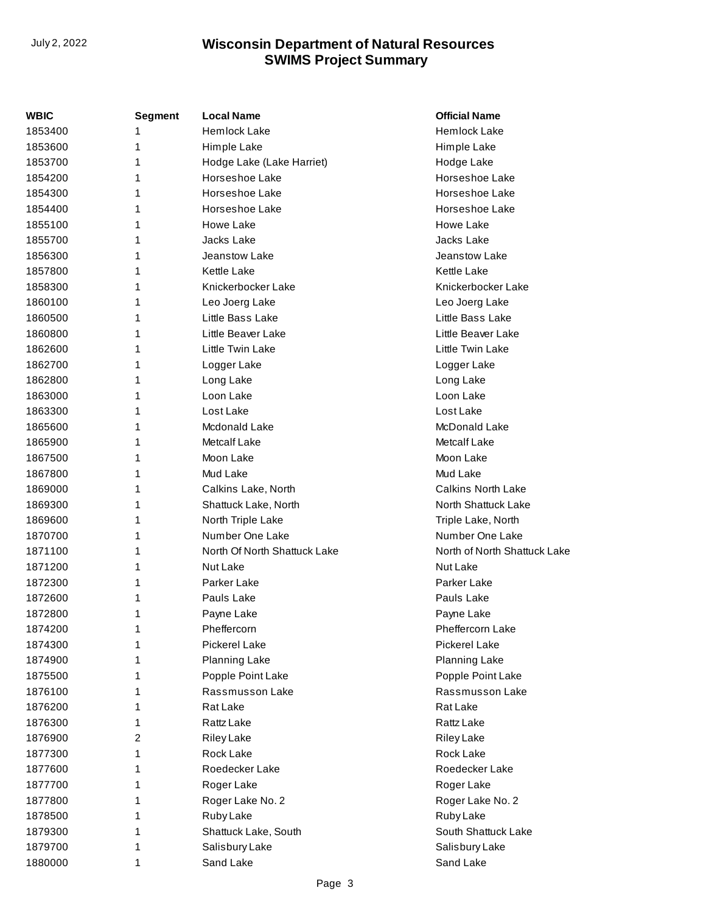| WBIC    | <b>Segment</b> | <b>Local Name</b>            | <b>Official Name</b>         |
|---------|----------------|------------------------------|------------------------------|
| 1853400 | 1              | <b>Hemlock Lake</b>          | <b>Hemlock Lake</b>          |
| 1853600 | 1              | Himple Lake                  | Himple Lake                  |
| 1853700 | 1              | Hodge Lake (Lake Harriet)    | Hodge Lake                   |
| 1854200 | 1              | Horseshoe Lake               | Horseshoe Lake               |
| 1854300 | 1              | Horseshoe Lake               | Horseshoe Lake               |
| 1854400 | 1              | Horseshoe Lake               | Horseshoe Lake               |
| 1855100 | 1              | Howe Lake                    | Howe Lake                    |
| 1855700 | 1              | Jacks Lake                   | Jacks Lake                   |
| 1856300 | 1              | Jeanstow Lake                | Jeanstow Lake                |
| 1857800 | 1              | Kettle Lake                  | Kettle Lake                  |
| 1858300 | 1              | Knickerbocker Lake           | Knickerbocker Lake           |
| 1860100 | 1              | Leo Joerg Lake               | Leo Joerg Lake               |
| 1860500 | 1              | Little Bass Lake             | Little Bass Lake             |
| 1860800 | 1              | Little Beaver Lake           | Little Beaver Lake           |
| 1862600 | 1              | Little Twin Lake             | Little Twin Lake             |
| 1862700 | 1              | Logger Lake                  | Logger Lake                  |
| 1862800 | 1              | Long Lake                    | Long Lake                    |
| 1863000 | 1              | Loon Lake                    | Loon Lake                    |
| 1863300 | 1              | Lost Lake                    | Lost Lake                    |
| 1865600 | 1              | Mcdonald Lake                | McDonald Lake                |
| 1865900 | 1              | Metcalf Lake                 | <b>Metcalf Lake</b>          |
| 1867500 | 1              | Moon Lake                    | Moon Lake                    |
| 1867800 | 1              | Mud Lake                     | Mud Lake                     |
| 1869000 | 1              | Calkins Lake, North          | Calkins North Lake           |
| 1869300 | 1              | Shattuck Lake, North         | North Shattuck Lake          |
| 1869600 | 1              | North Triple Lake            | Triple Lake, North           |
| 1870700 | 1              | Number One Lake              | Number One Lake              |
| 1871100 | 1              | North Of North Shattuck Lake | North of North Shattuck Lake |
| 1871200 | 1              | Nut Lake                     | Nut Lake                     |
| 1872300 | 1              | Parker Lake                  | Parker Lake                  |
| 1872600 | 1              | Pauls Lake                   | Pauls Lake                   |
| 1872800 | 1              | Payne Lake                   | Payne Lake                   |
| 1874200 | 1              | Pheffercorn                  | Pheffercorn Lake             |
| 1874300 | 1              | <b>Pickerel Lake</b>         | <b>Pickerel Lake</b>         |
| 1874900 | 1              | <b>Planning Lake</b>         | <b>Planning Lake</b>         |
| 1875500 | 1              | Popple Point Lake            | Popple Point Lake            |
| 1876100 | 1              | Rassmusson Lake              | Rassmusson Lake              |
| 1876200 | 1              | Rat Lake                     | Rat Lake                     |
| 1876300 | 1              | Rattz Lake                   | Rattz Lake                   |
| 1876900 | 2              | <b>Riley Lake</b>            | <b>Riley Lake</b>            |
| 1877300 | 1              | Rock Lake                    | Rock Lake                    |
| 1877600 | 1              | Roedecker Lake               | Roedecker Lake               |
| 1877700 | 1              | Roger Lake                   | Roger Lake                   |
| 1877800 | 1              | Roger Lake No. 2             | Roger Lake No. 2             |
| 1878500 | 1              | Ruby Lake                    | Ruby Lake                    |
| 1879300 | 1              | Shattuck Lake, South         | South Shattuck Lake          |
| 1879700 | 1              | Salisbury Lake               | Salisbury Lake               |
| 1880000 | 1              | Sand Lake                    | Sand Lake                    |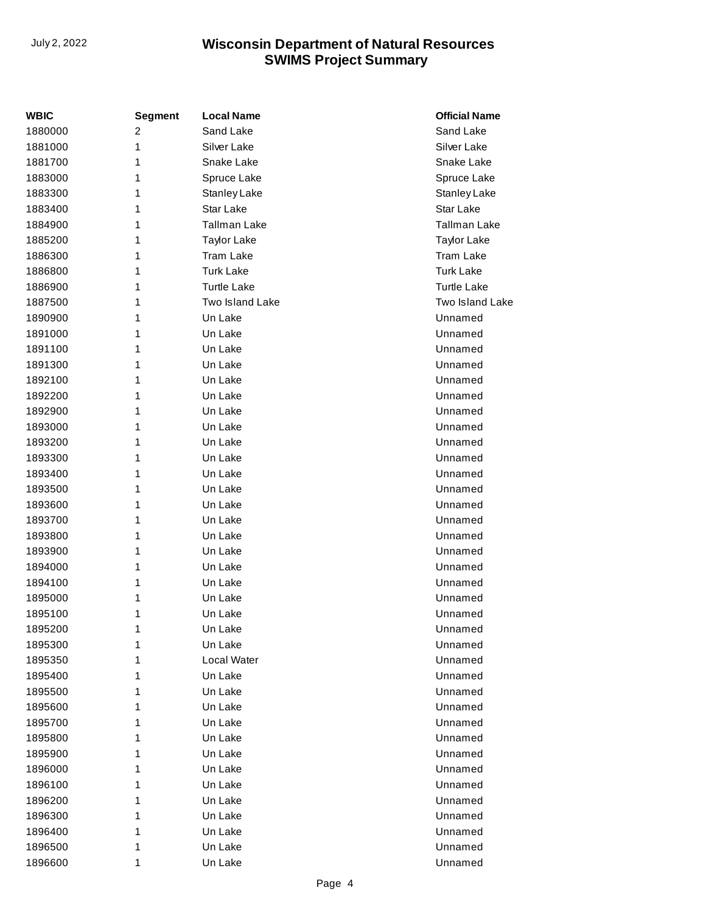| WBIC    | <b>Segment</b> | <b>Local Name</b>   | <b>Official Name</b> |
|---------|----------------|---------------------|----------------------|
| 1880000 | 2              | Sand Lake           | Sand Lake            |
| 1881000 | 1              | Silver Lake         | Silver Lake          |
| 1881700 | 1              | Snake Lake          | Snake Lake           |
| 1883000 | 1              | Spruce Lake         | Spruce Lake          |
| 1883300 | 1              | Stanley Lake        | Stanley Lake         |
| 1883400 | 1              | Star Lake           | Star Lake            |
| 1884900 | 1              | <b>Tallman Lake</b> | <b>Tallman Lake</b>  |
| 1885200 | 1              | <b>Taylor Lake</b>  | <b>Taylor Lake</b>   |
| 1886300 | 1              | <b>Tram Lake</b>    | <b>Tram Lake</b>     |
| 1886800 | 1              | <b>Turk Lake</b>    | <b>Turk Lake</b>     |
| 1886900 | 1              | <b>Turtle Lake</b>  | <b>Turtle Lake</b>   |
| 1887500 | 1              | Two Island Lake     | Two Island Lake      |
| 1890900 | 1              | Un Lake             | Unnamed              |
| 1891000 | 1              | Un Lake             | Unnamed              |
| 1891100 | 1              | Un Lake             | Unnamed              |
| 1891300 | 1              | Un Lake             | Unnamed              |
| 1892100 | 1              | Un Lake             | Unnamed              |
| 1892200 | 1              | Un Lake             | Unnamed              |
| 1892900 | 1              | Un Lake             | Unnamed              |
| 1893000 | 1              | Un Lake             | Unnamed              |
| 1893200 | 1              | Un Lake             | Unnamed              |
| 1893300 | 1              | Un Lake             | Unnamed              |
| 1893400 | 1              | Un Lake             | Unnamed              |
| 1893500 | 1              | Un Lake             | Unnamed              |
| 1893600 | 1              | Un Lake             | Unnamed              |
| 1893700 | 1              | Un Lake             | Unnamed              |
| 1893800 | 1              | Un Lake             | Unnamed              |
| 1893900 | 1              | Un Lake             | Unnamed              |
| 1894000 | 1              | Un Lake             | Unnamed              |
| 1894100 | 1              | Un Lake             | Unnamed              |
| 1895000 | 1              | Un Lake             | Unnamed              |
| 1895100 | 1              | Un Lake             | Unnamed              |
| 1895200 | 1              | Un Lake             | Unnamed              |
| 1895300 | 1              | Un Lake             | Unnamed              |
| 1895350 | 1              | Local Water         | Unnamed              |
| 1895400 | 1              | Un Lake             | Unnamed              |
| 1895500 | 1              | Un Lake             | Unnamed              |
| 1895600 | 1              | Un Lake             | Unnamed              |
| 1895700 | 1              | Un Lake             | Unnamed              |
| 1895800 | 1              | Un Lake             | Unnamed              |
| 1895900 | 1              | Un Lake             | Unnamed              |
| 1896000 | 1              | Un Lake             | Unnamed              |
| 1896100 | 1              | Un Lake             | Unnamed              |
| 1896200 | 1              | Un Lake             | Unnamed              |
| 1896300 | 1              | Un Lake             | Unnamed              |
| 1896400 | 1              | Un Lake             | Unnamed              |
| 1896500 | 1              | Un Lake             | Unnamed              |
| 1896600 | 1              | Un Lake             | Unnamed              |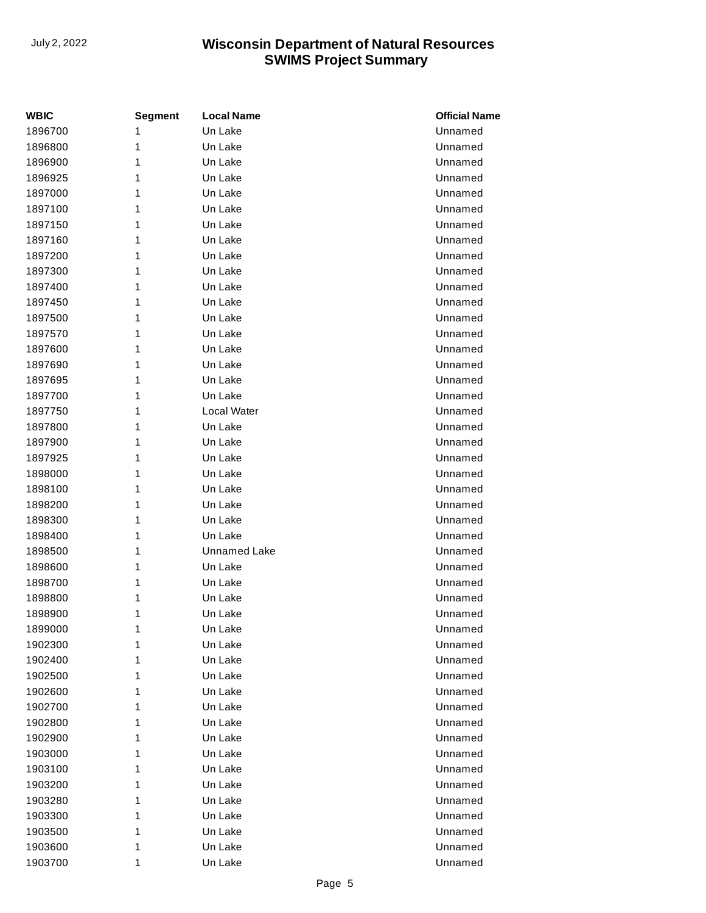| WBIC    | <b>Segment</b> | <b>Local Name</b>   | <b>Official Name</b> |
|---------|----------------|---------------------|----------------------|
| 1896700 | 1              | Un Lake             | Unnamed              |
| 1896800 | 1              | Un Lake             | Unnamed              |
| 1896900 | 1              | Un Lake             | Unnamed              |
| 1896925 | 1              | Un Lake             | Unnamed              |
| 1897000 | 1              | Un Lake             | Unnamed              |
| 1897100 | 1              | Un Lake             | Unnamed              |
| 1897150 | 1              | Un Lake             | Unnamed              |
| 1897160 | 1              | Un Lake             | Unnamed              |
| 1897200 | 1              | Un Lake             | Unnamed              |
| 1897300 | 1              | Un Lake             | Unnamed              |
| 1897400 | 1              | Un Lake             | Unnamed              |
| 1897450 | 1              | Un Lake             | Unnamed              |
| 1897500 | 1              | Un Lake             | Unnamed              |
| 1897570 | 1              | Un Lake             | Unnamed              |
| 1897600 | 1              | Un Lake             | Unnamed              |
| 1897690 | 1              | Un Lake             | Unnamed              |
| 1897695 | 1              | Un Lake             | Unnamed              |
| 1897700 | 1              | Un Lake             | Unnamed              |
| 1897750 | 1              | Local Water         | Unnamed              |
| 1897800 | 1              | Un Lake             | Unnamed              |
| 1897900 | 1              | Un Lake             | Unnamed              |
| 1897925 | 1              | Un Lake             | Unnamed              |
| 1898000 | 1              | Un Lake             | Unnamed              |
| 1898100 | 1              | Un Lake             | Unnamed              |
| 1898200 | 1              | Un Lake             | Unnamed              |
| 1898300 | 1              | Un Lake             | Unnamed              |
| 1898400 | 1              | Un Lake             | Unnamed              |
| 1898500 | 1              | <b>Unnamed Lake</b> | Unnamed              |
| 1898600 | 1              | Un Lake             | Unnamed              |
| 1898700 | 1              | Un Lake             | Unnamed              |
| 1898800 | 1              | Un Lake             | Unnamed              |
| 1898900 | 1              | Un Lake             | Unnamed              |
| 1899000 | 1              | Un Lake             | Unnamed              |
| 1902300 | 1              | Un Lake             | Unnamed              |
| 1902400 | 1              | Un Lake             | Unnamed              |
| 1902500 | 1              | Un Lake             | Unnamed              |
| 1902600 | 1              | Un Lake             | Unnamed              |
| 1902700 | 1              | Un Lake             | Unnamed              |
| 1902800 | 1              | Un Lake             | Unnamed              |
| 1902900 | 1              | Un Lake             | Unnamed              |
| 1903000 | 1              | Un Lake             | Unnamed              |
| 1903100 | 1              | Un Lake             | Unnamed              |
| 1903200 | 1              | Un Lake             | Unnamed              |
| 1903280 | 1              | Un Lake             | Unnamed              |
| 1903300 | 1              | Un Lake             | Unnamed              |
| 1903500 | 1              | Un Lake             | Unnamed              |
| 1903600 | 1              | Un Lake             | Unnamed              |
| 1903700 | 1              | Un Lake             | Unnamed              |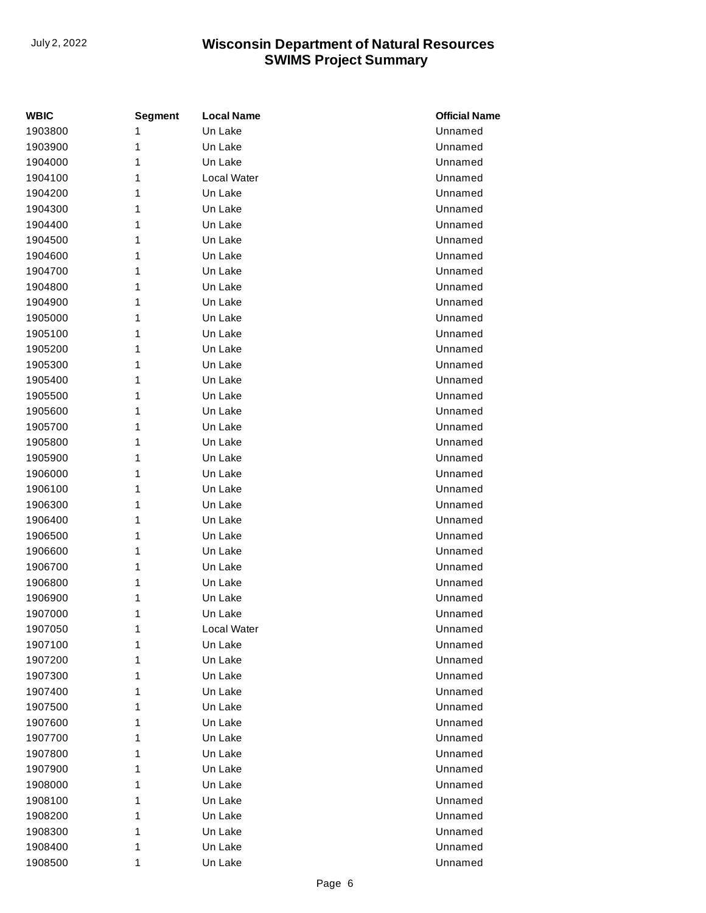| <b>WBIC</b> | <b>Segment</b> | <b>Local Name</b> | <b>Official Name</b> |
|-------------|----------------|-------------------|----------------------|
| 1903800     | 1              | Un Lake           | Unnamed              |
| 1903900     | 1              | Un Lake           | Unnamed              |
| 1904000     | 1              | Un Lake           | Unnamed              |
| 1904100     | 1              | Local Water       | Unnamed              |
| 1904200     | 1              | Un Lake           | Unnamed              |
| 1904300     | 1              | Un Lake           | Unnamed              |
| 1904400     | 1              | Un Lake           | Unnamed              |
| 1904500     | 1              | Un Lake           | Unnamed              |
| 1904600     | 1              | Un Lake           | Unnamed              |
| 1904700     | 1              | Un Lake           | Unnamed              |
| 1904800     | 1              | Un Lake           | Unnamed              |
| 1904900     | 1              | Un Lake           | Unnamed              |
| 1905000     | 1              | Un Lake           | Unnamed              |
| 1905100     | 1              | Un Lake           | Unnamed              |
| 1905200     | 1              | Un Lake           | Unnamed              |
| 1905300     | 1              | Un Lake           | Unnamed              |
| 1905400     | 1              | Un Lake           | Unnamed              |
| 1905500     | 1              | Un Lake           | Unnamed              |
| 1905600     | 1              | Un Lake           | Unnamed              |
| 1905700     | 1              | Un Lake           | Unnamed              |
| 1905800     | 1              | Un Lake           | Unnamed              |
| 1905900     | 1              | Un Lake           | Unnamed              |
| 1906000     | 1              | Un Lake           | Unnamed              |
| 1906100     | 1              | Un Lake           | Unnamed              |
| 1906300     | 1              | Un Lake           | Unnamed              |
| 1906400     | 1              | Un Lake           | Unnamed              |
| 1906500     | 1              | Un Lake           | Unnamed              |
| 1906600     | 1              | Un Lake           | Unnamed              |
| 1906700     | 1              | Un Lake           | Unnamed              |
| 1906800     | 1              | Un Lake           | Unnamed              |
| 1906900     | 1              | Un Lake           | Unnamed              |
| 1907000     | 1              | Un Lake           | Unnamed              |
| 1907050     | 1              | Local Water       | Unnamed              |
| 1907100     | 1              | Un Lake           | Unnamed              |
| 1907200     | 1              | Un Lake           | Unnamed              |
| 1907300     | 1              | Un Lake           | Unnamed              |
| 1907400     | 1              | Un Lake           | Unnamed              |
| 1907500     | 1              | Un Lake           | Unnamed              |
| 1907600     | 1              | Un Lake           | Unnamed              |
| 1907700     | 1              | Un Lake           | Unnamed              |
| 1907800     | 1              | Un Lake           | Unnamed              |
| 1907900     | 1              | Un Lake           | Unnamed              |
| 1908000     | 1              | Un Lake           | Unnamed              |
| 1908100     | 1              | Un Lake           | Unnamed              |
| 1908200     | 1              | Un Lake           | Unnamed              |
| 1908300     | 1              | Un Lake           | Unnamed              |
| 1908400     | 1              | Un Lake           | Unnamed              |
| 1908500     | 1              | Un Lake           | Unnamed              |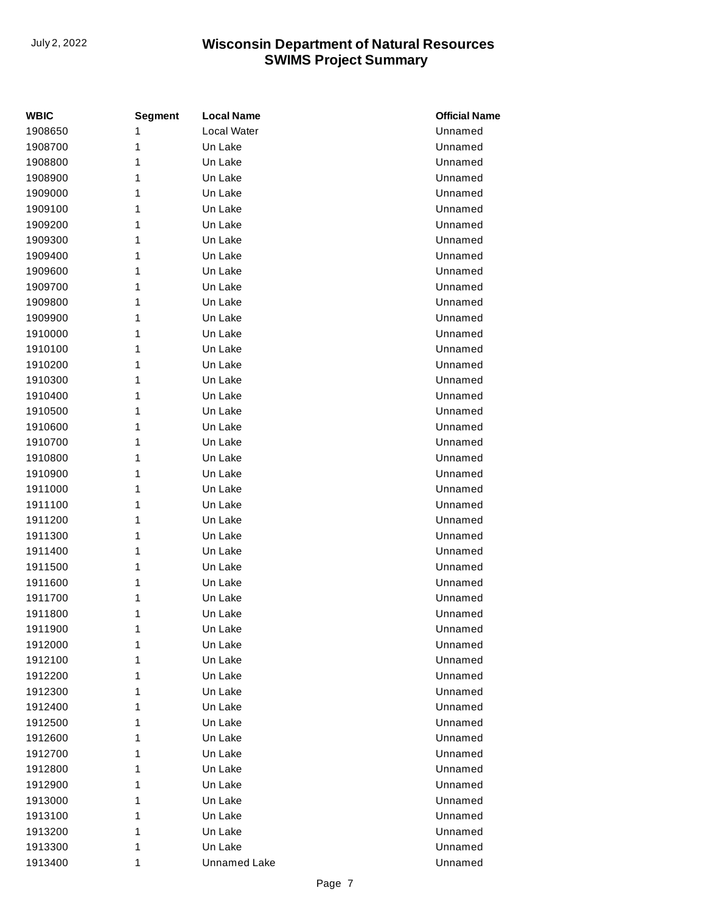| WBIC    | <b>Segment</b> | <b>Local Name</b> | <b>Official Name</b> |
|---------|----------------|-------------------|----------------------|
| 1908650 | 1              | Local Water       | Unnamed              |
| 1908700 | 1              | Un Lake           | Unnamed              |
| 1908800 | 1              | Un Lake           | Unnamed              |
| 1908900 | 1              | Un Lake           | Unnamed              |
| 1909000 | 1              | Un Lake           | Unnamed              |
| 1909100 | 1              | Un Lake           | Unnamed              |
| 1909200 | 1              | Un Lake           | Unnamed              |
| 1909300 | 1              | Un Lake           | Unnamed              |
| 1909400 | 1              | Un Lake           | Unnamed              |
| 1909600 | 1              | Un Lake           | Unnamed              |
| 1909700 | 1              | Un Lake           | Unnamed              |
| 1909800 | 1              | Un Lake           | Unnamed              |
| 1909900 | 1              | Un Lake           | Unnamed              |
| 1910000 | 1              | Un Lake           | Unnamed              |
| 1910100 | 1              | Un Lake           | Unnamed              |
| 1910200 | 1              | Un Lake           | Unnamed              |
| 1910300 | 1              | Un Lake           | Unnamed              |
| 1910400 | 1              | Un Lake           | Unnamed              |
| 1910500 | 1              | Un Lake           | Unnamed              |
| 1910600 | 1              | Un Lake           | Unnamed              |
| 1910700 | 1              | Un Lake           | Unnamed              |
| 1910800 | 1              | Un Lake           | Unnamed              |
| 1910900 | 1              | Un Lake           | Unnamed              |
| 1911000 | 1              | Un Lake           | Unnamed              |
| 1911100 | 1              | Un Lake           | Unnamed              |
| 1911200 | 1              | Un Lake           | Unnamed              |
| 1911300 | 1              | Un Lake           | Unnamed              |
| 1911400 | 1              | Un Lake           | Unnamed              |
| 1911500 | 1              | Un Lake           | Unnamed              |
| 1911600 | 1              | Un Lake           | Unnamed              |
| 1911700 | 1              | Un Lake           | Unnamed              |
| 1911800 | 1              | Un Lake           | Unnamed              |
| 1911900 | 1              | Un Lake           | Unnamed              |
| 1912000 | 1              | Un Lake           | Unnamed              |
| 1912100 | 1              | Un Lake           | Unnamed              |
| 1912200 | 1              | Un Lake           | Unnamed              |
| 1912300 | 1              | Un Lake           | Unnamed              |
| 1912400 | 1              | Un Lake           | Unnamed              |
| 1912500 | 1              | Un Lake           | Unnamed              |
| 1912600 | 1              | Un Lake           | Unnamed              |
| 1912700 | 1              | Un Lake           | Unnamed              |
| 1912800 | 1              | Un Lake           | Unnamed              |
| 1912900 | 1              | Un Lake           | Unnamed              |
| 1913000 | 1              | Un Lake           | Unnamed              |
| 1913100 | 1              | Un Lake           | Unnamed              |
| 1913200 | 1              | Un Lake           | Unnamed              |
| 1913300 | 1              | Un Lake           | Unnamed              |
| 1913400 | 1              | Unnamed Lake      | Unnamed              |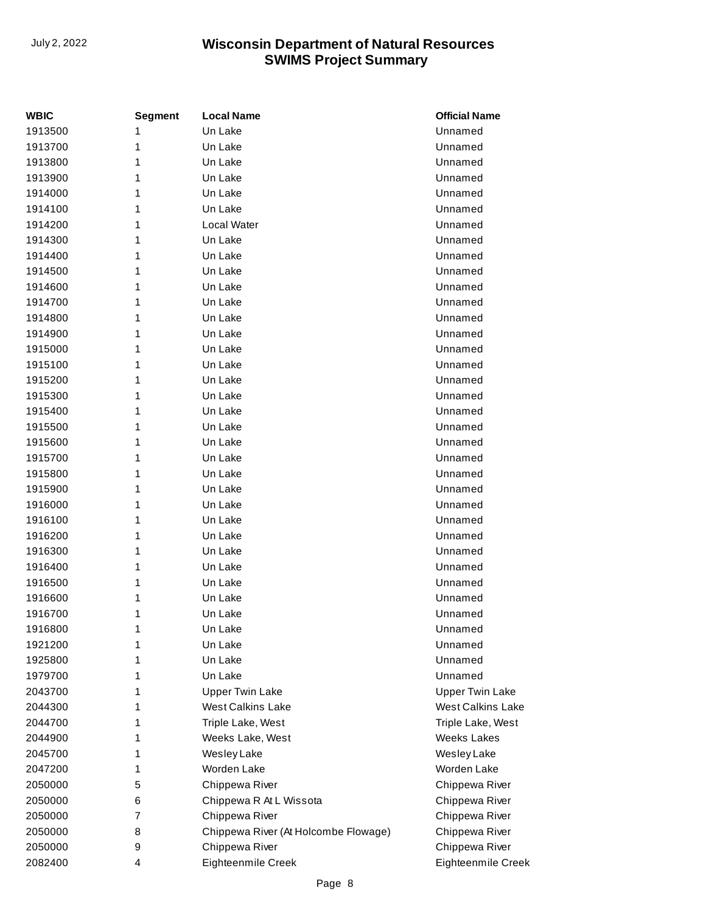| <b>WBIC</b> | <b>Segment</b> | <b>Local Name</b>                    | <b>Official Name</b>     |
|-------------|----------------|--------------------------------------|--------------------------|
| 1913500     | 1              | Un Lake                              | Unnamed                  |
| 1913700     | 1              | Un Lake                              | Unnamed                  |
| 1913800     | 1              | Un Lake                              | Unnamed                  |
| 1913900     | 1              | Un Lake                              | Unnamed                  |
| 1914000     | 1              | Un Lake                              | Unnamed                  |
| 1914100     | 1              | Un Lake                              | Unnamed                  |
| 1914200     | 1              | Local Water                          | Unnamed                  |
| 1914300     | 1              | Un Lake                              | Unnamed                  |
| 1914400     | 1              | Un Lake                              | Unnamed                  |
| 1914500     | 1              | Un Lake                              | Unnamed                  |
| 1914600     | 1              | Un Lake                              | Unnamed                  |
| 1914700     | 1              | Un Lake                              | Unnamed                  |
| 1914800     | 1              | Un Lake                              | Unnamed                  |
| 1914900     | 1              | Un Lake                              | Unnamed                  |
| 1915000     | 1              | Un Lake                              | Unnamed                  |
| 1915100     | 1              | Un Lake                              | Unnamed                  |
| 1915200     | 1              | Un Lake                              | Unnamed                  |
| 1915300     | 1              | Un Lake                              | Unnamed                  |
| 1915400     | 1              | Un Lake                              | Unnamed                  |
| 1915500     | 1              | Un Lake                              | Unnamed                  |
| 1915600     | 1              | Un Lake                              | Unnamed                  |
| 1915700     | 1              | Un Lake                              | Unnamed                  |
| 1915800     | 1              | Un Lake                              | Unnamed                  |
| 1915900     | 1              | Un Lake                              | Unnamed                  |
| 1916000     | 1              | Un Lake                              | Unnamed                  |
| 1916100     | 1              | Un Lake                              | Unnamed                  |
| 1916200     | 1              | Un Lake                              | Unnamed                  |
| 1916300     | 1              | Un Lake                              | Unnamed                  |
| 1916400     | 1              | Un Lake                              | Unnamed                  |
| 1916500     | 1              | Un Lake                              | Unnamed                  |
| 1916600     | 1              | Un Lake                              | Unnamed                  |
| 1916700     | 1              | Un Lake                              | Unnamed                  |
| 1916800     | 1              | Un Lake                              | Unnamed                  |
| 1921200     | 1              | Un Lake                              | Unnamed                  |
| 1925800     | 1              | Un Lake                              | Unnamed                  |
| 1979700     | 1              | Un Lake                              | Unnamed                  |
| 2043700     | 1              | <b>Upper Twin Lake</b>               | <b>Upper Twin Lake</b>   |
| 2044300     | 1              | <b>West Calkins Lake</b>             | <b>West Calkins Lake</b> |
| 2044700     | 1              | Triple Lake, West                    | Triple Lake, West        |
| 2044900     | 1              | Weeks Lake, West                     | Weeks Lakes              |
| 2045700     | 1              | Wesley Lake                          | Wesley Lake              |
| 2047200     | 1              | Worden Lake                          | Worden Lake              |
| 2050000     | 5              | Chippewa River                       | Chippewa River           |
| 2050000     | 6              | Chippewa R At L Wissota              | Chippewa River           |
| 2050000     | 7              | Chippewa River                       | Chippewa River           |
| 2050000     | 8              | Chippewa River (At Holcombe Flowage) | Chippewa River           |
| 2050000     | 9              | Chippewa River                       | Chippewa River           |
| 2082400     | 4              | Eighteenmile Creek                   | Eighteenmile Creek       |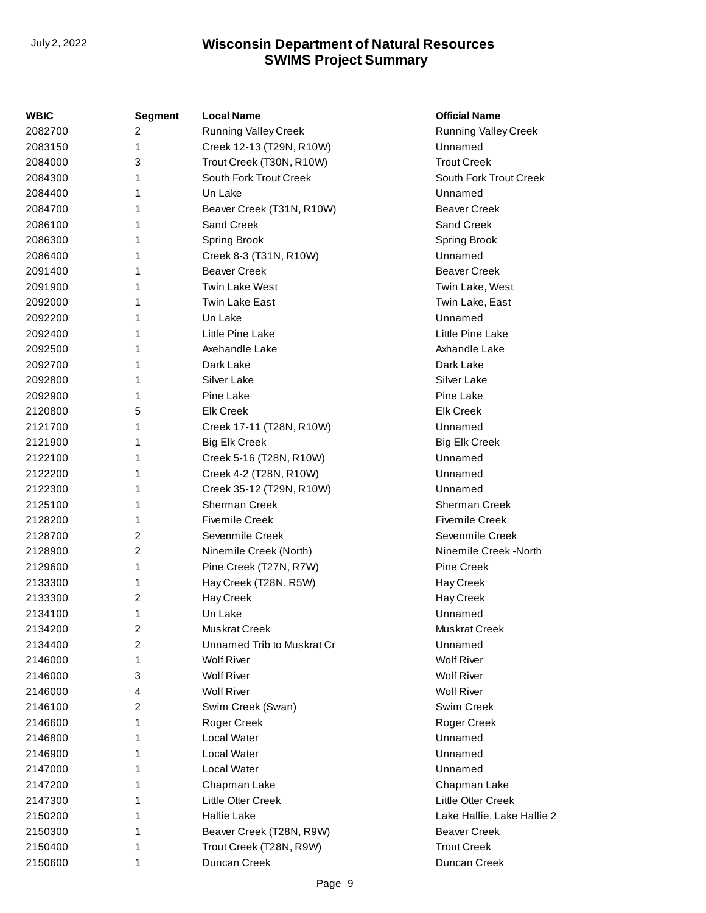| WBIC    | <b>Segment</b> | <b>Local Name</b>           | <b>Official Name</b>        |
|---------|----------------|-----------------------------|-----------------------------|
| 2082700 | 2              | <b>Running Valley Creek</b> | <b>Running Valley Creek</b> |
| 2083150 | 1              | Creek 12-13 (T29N, R10W)    | Unnamed                     |
| 2084000 | 3              | Trout Creek (T30N, R10W)    | <b>Trout Creek</b>          |
| 2084300 | 1              | South Fork Trout Creek      | South Fork Trout Creek      |
| 2084400 | 1              | Un Lake                     | Unnamed                     |
| 2084700 | 1              | Beaver Creek (T31N, R10W)   | <b>Beaver Creek</b>         |
| 2086100 | 1              | Sand Creek                  | Sand Creek                  |
| 2086300 | 1              | <b>Spring Brook</b>         | Spring Brook                |
| 2086400 | 1              | Creek 8-3 (T31N, R10W)      | Unnamed                     |
| 2091400 | 1              | <b>Beaver Creek</b>         | <b>Beaver Creek</b>         |
| 2091900 | 1              | <b>Twin Lake West</b>       | Twin Lake, West             |
| 2092000 | 1              | Twin Lake East              | Twin Lake, East             |
| 2092200 | 1              | Un Lake                     | Unnamed                     |
| 2092400 | 1              | Little Pine Lake            | Little Pine Lake            |
| 2092500 | 1              | Axehandle Lake              | Axhandle Lake               |
| 2092700 | 1              | Dark Lake                   | Dark Lake                   |
| 2092800 | 1              | Silver Lake                 | Silver Lake                 |
| 2092900 | 1              | Pine Lake                   | Pine Lake                   |
| 2120800 | 5              | <b>Elk Creek</b>            | <b>Elk Creek</b>            |
| 2121700 | 1              | Creek 17-11 (T28N, R10W)    | Unnamed                     |
| 2121900 | 1              | <b>Big Elk Creek</b>        | <b>Big Elk Creek</b>        |
| 2122100 | 1              | Creek 5-16 (T28N, R10W)     | Unnamed                     |
| 2122200 | 1              | Creek 4-2 (T28N, R10W)      | Unnamed                     |
| 2122300 | 1              | Creek 35-12 (T29N, R10W)    | Unnamed                     |
| 2125100 | 1              | <b>Sherman Creek</b>        | <b>Sherman Creek</b>        |
| 2128200 | 1              | <b>Fivemile Creek</b>       | <b>Fivemile Creek</b>       |
| 2128700 | 2              | Sevenmile Creek             | Sevenmile Creek             |
| 2128900 | 2              | Ninemile Creek (North)      | Ninemile Creek -North       |
| 2129600 | 1              | Pine Creek (T27N, R7W)      | <b>Pine Creek</b>           |
| 2133300 | 1              | Hay Creek (T28N, R5W)       | Hay Creek                   |
| 2133300 | 2              | Hay Creek                   | Hay Creek                   |
| 2134100 | 1              | Un Lake                     | Unnamed                     |
| 2134200 | 2              | Muskrat Creek               | Muskrat Creek               |
| 2134400 | 2              | Unnamed Trib to Muskrat Cr  | Unnamed                     |
| 2146000 | 1              | <b>Wolf River</b>           | <b>Wolf River</b>           |
| 2146000 | 3              | <b>Wolf River</b>           | <b>Wolf River</b>           |
| 2146000 | 4              | <b>Wolf River</b>           | <b>Wolf River</b>           |
| 2146100 | 2              | Swim Creek (Swan)           | Swim Creek                  |
| 2146600 | 1              | Roger Creek                 | Roger Creek                 |
| 2146800 | 1              | Local Water                 | Unnamed                     |
| 2146900 | 1              | Local Water                 | Unnamed                     |
| 2147000 | 1              | Local Water                 | Unnamed                     |
| 2147200 | 1              | Chapman Lake                | Chapman Lake                |
| 2147300 | 1              | Little Otter Creek          | Little Otter Creek          |
| 2150200 | 1              | Hallie Lake                 | Lake Hallie, Lake Hallie 2  |
| 2150300 | 1              | Beaver Creek (T28N, R9W)    | <b>Beaver Creek</b>         |
| 2150400 | 1              | Trout Creek (T28N, R9W)     | <b>Trout Creek</b>          |
| 2150600 | 1              | Duncan Creek                | Duncan Creek                |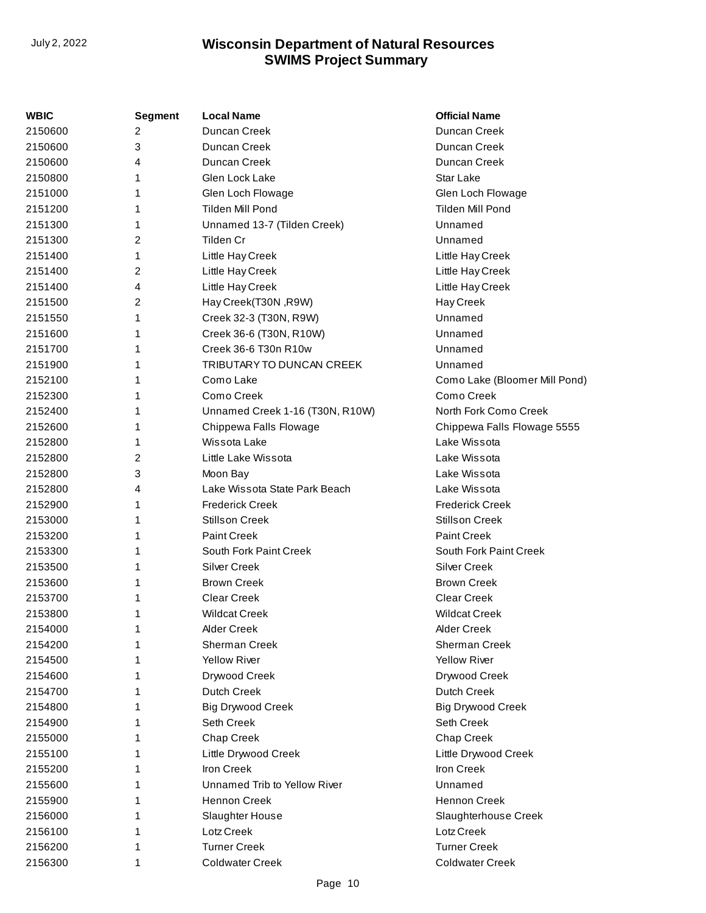| WBIC    | <b>Segment</b> | <b>Local Name</b>               | <b>Official Name</b>          |
|---------|----------------|---------------------------------|-------------------------------|
| 2150600 | 2              | Duncan Creek                    | Duncan Creek                  |
| 2150600 | 3              | Duncan Creek                    | Duncan Creek                  |
| 2150600 | 4              | Duncan Creek                    | Duncan Creek                  |
| 2150800 | 1              | Glen Lock Lake                  | Star Lake                     |
| 2151000 | 1              | Glen Loch Flowage               | Glen Loch Flowage             |
| 2151200 | 1              | <b>Tilden Mill Pond</b>         | Tilden Mill Pond              |
| 2151300 | 1              | Unnamed 13-7 (Tilden Creek)     | Unnamed                       |
| 2151300 | 2              | Tilden Cr                       | Unnamed                       |
| 2151400 | 1              | Little Hay Creek                | Little Hay Creek              |
| 2151400 | 2              | Little Hay Creek                | Little Hay Creek              |
| 2151400 | 4              | Little Hay Creek                | Little Hay Creek              |
| 2151500 | 2              | Hay Creek(T30N, R9W)            | Hay Creek                     |
| 2151550 | 1              | Creek 32-3 (T30N, R9W)          | Unnamed                       |
| 2151600 | 1              | Creek 36-6 (T30N, R10W)         | Unnamed                       |
| 2151700 | 1              | Creek 36-6 T30n R10w            | Unnamed                       |
| 2151900 | 1              | TRIBUTARY TO DUNCAN CREEK       | Unnamed                       |
| 2152100 | 1              | Como Lake                       | Como Lake (Bloomer Mill Pond) |
| 2152300 | 1              | Como Creek                      | Como Creek                    |
| 2152400 | 1              | Unnamed Creek 1-16 (T30N, R10W) | North Fork Como Creek         |
| 2152600 | 1              | Chippewa Falls Flowage          | Chippewa Falls Flowage 5555   |
| 2152800 | 1              | Wissota Lake                    | Lake Wissota                  |
| 2152800 | 2              | Little Lake Wissota             | Lake Wissota                  |
| 2152800 | 3              | Moon Bay                        | Lake Wissota                  |
| 2152800 | 4              | Lake Wissota State Park Beach   | Lake Wissota                  |
| 2152900 | 1              | <b>Frederick Creek</b>          | <b>Frederick Creek</b>        |
| 2153000 | 1              | <b>Stillson Creek</b>           | <b>Stillson Creek</b>         |
| 2153200 | 1              | <b>Paint Creek</b>              | <b>Paint Creek</b>            |
| 2153300 | 1              | South Fork Paint Creek          | South Fork Paint Creek        |
| 2153500 | 1              | <b>Silver Creek</b>             | <b>Silver Creek</b>           |
| 2153600 | 1              | <b>Brown Creek</b>              | <b>Brown Creek</b>            |
| 2153700 | 1              | <b>Clear Creek</b>              | <b>Clear Creek</b>            |
| 2153800 | 1              | <b>Wildcat Creek</b>            | <b>Wildcat Creek</b>          |
| 2154000 | 1              | Alder Creek                     | <b>Alder Creek</b>            |
| 2154200 | 1              | Sherman Creek                   | <b>Sherman Creek</b>          |
| 2154500 | 1              | <b>Yellow River</b>             | <b>Yellow River</b>           |
| 2154600 |                | Drywood Creek                   | Drywood Creek                 |
| 2154700 |                | Dutch Creek                     | Dutch Creek                   |
| 2154800 | 1              | <b>Big Drywood Creek</b>        | <b>Big Drywood Creek</b>      |
| 2154900 | 1              | Seth Creek                      | Seth Creek                    |
| 2155000 |                | Chap Creek                      | Chap Creek                    |
| 2155100 |                | Little Drywood Creek            | Little Drywood Creek          |
| 2155200 | 1              | Iron Creek                      | Iron Creek                    |
| 2155600 | 1              | Unnamed Trib to Yellow River    | Unnamed                       |
| 2155900 |                | Hennon Creek                    | Hennon Creek                  |
| 2156000 |                | Slaughter House                 | Slaughterhouse Creek          |
| 2156100 | 1              | Lotz Creek                      | Lotz Creek                    |
| 2156200 | 1              | <b>Turner Creek</b>             | <b>Turner Creek</b>           |
| 2156300 | 1              | <b>Coldwater Creek</b>          | <b>Coldwater Creek</b>        |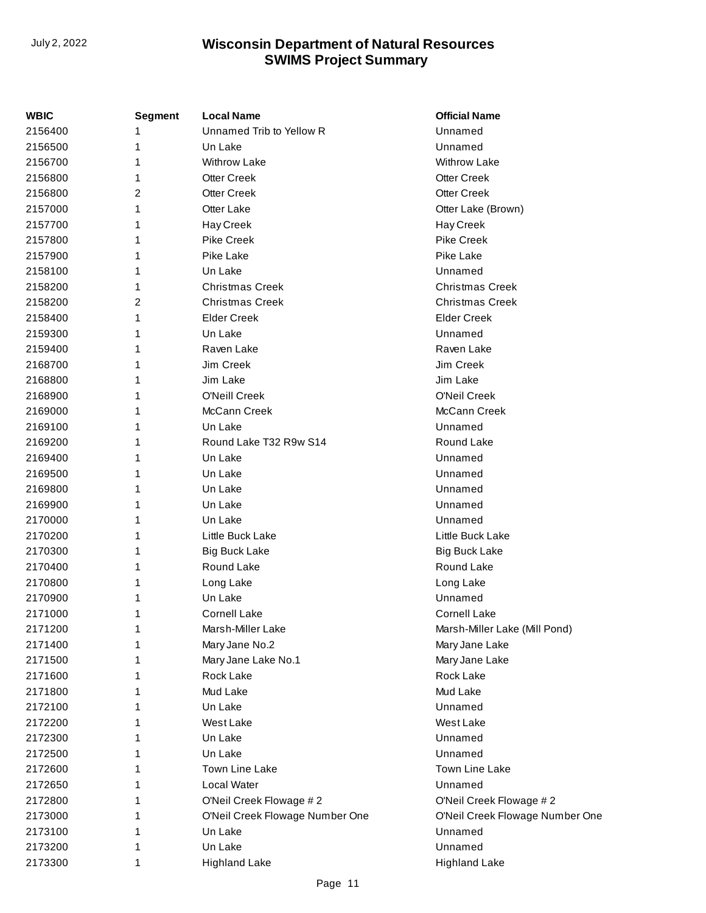| Unnamed Trib to Yellow R<br>Unnamed<br>1<br>Unnamed<br>1<br>Un Lake<br>1<br><b>Withrow Lake</b><br><b>Withrow Lake</b><br><b>Otter Creek</b><br><b>Otter Creek</b><br>1<br><b>Otter Creek</b><br><b>Otter Creek</b><br>2<br>Otter Lake<br>1<br>Otter Lake (Brown)<br>1<br>Hay Creek<br>Hay Creek<br><b>Pike Creek</b><br><b>Pike Creek</b><br>1<br>Pike Lake<br>Pike Lake<br>1<br>Un Lake<br>Unnamed<br>1<br><b>Christmas Creek</b><br><b>Christmas Creek</b><br>1<br>2<br><b>Christmas Creek</b><br><b>Christmas Creek</b><br><b>Elder Creek</b><br><b>Elder Creek</b><br>1<br>Unnamed<br>1<br>Un Lake<br>Raven Lake<br>1<br>Raven Lake<br>Jim Creek<br>Jim Creek<br>1<br>Jim Lake<br>Jim Lake<br>1<br>O'Neill Creek<br>O'Neil Creek<br>1<br>McCann Creek<br>McCann Creek<br>1<br>Un Lake<br>Unnamed<br>1<br>Round Lake T32 R9w S14<br>Round Lake<br>1<br>Un Lake<br>Unnamed<br>1<br>1<br>Un Lake<br>Unnamed<br>Unnamed<br>Un Lake<br>1<br>Un Lake<br>Unnamed<br>1<br>Unnamed<br>Un Lake<br>1<br>Little Buck Lake<br>Little Buck Lake<br>1<br><b>Big Buck Lake</b><br>1<br>Big Buck Lake<br>Round Lake<br>Round Lake<br>1<br>1<br>Long Lake<br>Long Lake<br>Unnamed<br>1<br>Un Lake<br><b>Cornell Lake</b><br><b>Cornell Lake</b><br>1<br>2171200<br>Marsh-Miller Lake<br>Marsh-Miller Lake (Mill Pond)<br>1<br>1<br>Mary Jane No.2<br>Mary Jane Lake<br>1<br>Mary Jane Lake No.1<br>Mary Jane Lake<br>Rock Lake<br>Rock Lake<br>1<br>Mud Lake<br>Mud Lake<br>1<br>Un Lake<br>Unnamed<br>1<br>West Lake<br>West Lake<br>1<br>Un Lake<br>Unnamed<br>1<br>Un Lake<br>Unnamed<br>1<br>Town Line Lake<br>Town Line Lake<br>1<br>Local Water<br>Unnamed<br>1<br>O'Neil Creek Flowage #2<br>O'Neil Creek Flowage #2<br>1<br>O'Neil Creek Flowage Number One<br>O'Neil Creek Flowage Number One<br>1<br>Unnamed<br>Un Lake<br>1<br>Un Lake<br>Unnamed<br>1<br><b>Highland Lake</b><br>1<br><b>Highland Lake</b> | <b>WBIC</b> | Segment | <b>Local Name</b> | <b>Official Name</b> |
|-----------------------------------------------------------------------------------------------------------------------------------------------------------------------------------------------------------------------------------------------------------------------------------------------------------------------------------------------------------------------------------------------------------------------------------------------------------------------------------------------------------------------------------------------------------------------------------------------------------------------------------------------------------------------------------------------------------------------------------------------------------------------------------------------------------------------------------------------------------------------------------------------------------------------------------------------------------------------------------------------------------------------------------------------------------------------------------------------------------------------------------------------------------------------------------------------------------------------------------------------------------------------------------------------------------------------------------------------------------------------------------------------------------------------------------------------------------------------------------------------------------------------------------------------------------------------------------------------------------------------------------------------------------------------------------------------------------------------------------------------------------------------------------------------------------------------------------------------------------------------------------------------------------|-------------|---------|-------------------|----------------------|
|                                                                                                                                                                                                                                                                                                                                                                                                                                                                                                                                                                                                                                                                                                                                                                                                                                                                                                                                                                                                                                                                                                                                                                                                                                                                                                                                                                                                                                                                                                                                                                                                                                                                                                                                                                                                                                                                                                           | 2156400     |         |                   |                      |
|                                                                                                                                                                                                                                                                                                                                                                                                                                                                                                                                                                                                                                                                                                                                                                                                                                                                                                                                                                                                                                                                                                                                                                                                                                                                                                                                                                                                                                                                                                                                                                                                                                                                                                                                                                                                                                                                                                           | 2156500     |         |                   |                      |
|                                                                                                                                                                                                                                                                                                                                                                                                                                                                                                                                                                                                                                                                                                                                                                                                                                                                                                                                                                                                                                                                                                                                                                                                                                                                                                                                                                                                                                                                                                                                                                                                                                                                                                                                                                                                                                                                                                           | 2156700     |         |                   |                      |
|                                                                                                                                                                                                                                                                                                                                                                                                                                                                                                                                                                                                                                                                                                                                                                                                                                                                                                                                                                                                                                                                                                                                                                                                                                                                                                                                                                                                                                                                                                                                                                                                                                                                                                                                                                                                                                                                                                           | 2156800     |         |                   |                      |
|                                                                                                                                                                                                                                                                                                                                                                                                                                                                                                                                                                                                                                                                                                                                                                                                                                                                                                                                                                                                                                                                                                                                                                                                                                                                                                                                                                                                                                                                                                                                                                                                                                                                                                                                                                                                                                                                                                           | 2156800     |         |                   |                      |
|                                                                                                                                                                                                                                                                                                                                                                                                                                                                                                                                                                                                                                                                                                                                                                                                                                                                                                                                                                                                                                                                                                                                                                                                                                                                                                                                                                                                                                                                                                                                                                                                                                                                                                                                                                                                                                                                                                           | 2157000     |         |                   |                      |
|                                                                                                                                                                                                                                                                                                                                                                                                                                                                                                                                                                                                                                                                                                                                                                                                                                                                                                                                                                                                                                                                                                                                                                                                                                                                                                                                                                                                                                                                                                                                                                                                                                                                                                                                                                                                                                                                                                           | 2157700     |         |                   |                      |
|                                                                                                                                                                                                                                                                                                                                                                                                                                                                                                                                                                                                                                                                                                                                                                                                                                                                                                                                                                                                                                                                                                                                                                                                                                                                                                                                                                                                                                                                                                                                                                                                                                                                                                                                                                                                                                                                                                           | 2157800     |         |                   |                      |
|                                                                                                                                                                                                                                                                                                                                                                                                                                                                                                                                                                                                                                                                                                                                                                                                                                                                                                                                                                                                                                                                                                                                                                                                                                                                                                                                                                                                                                                                                                                                                                                                                                                                                                                                                                                                                                                                                                           | 2157900     |         |                   |                      |
|                                                                                                                                                                                                                                                                                                                                                                                                                                                                                                                                                                                                                                                                                                                                                                                                                                                                                                                                                                                                                                                                                                                                                                                                                                                                                                                                                                                                                                                                                                                                                                                                                                                                                                                                                                                                                                                                                                           | 2158100     |         |                   |                      |
|                                                                                                                                                                                                                                                                                                                                                                                                                                                                                                                                                                                                                                                                                                                                                                                                                                                                                                                                                                                                                                                                                                                                                                                                                                                                                                                                                                                                                                                                                                                                                                                                                                                                                                                                                                                                                                                                                                           | 2158200     |         |                   |                      |
|                                                                                                                                                                                                                                                                                                                                                                                                                                                                                                                                                                                                                                                                                                                                                                                                                                                                                                                                                                                                                                                                                                                                                                                                                                                                                                                                                                                                                                                                                                                                                                                                                                                                                                                                                                                                                                                                                                           | 2158200     |         |                   |                      |
|                                                                                                                                                                                                                                                                                                                                                                                                                                                                                                                                                                                                                                                                                                                                                                                                                                                                                                                                                                                                                                                                                                                                                                                                                                                                                                                                                                                                                                                                                                                                                                                                                                                                                                                                                                                                                                                                                                           | 2158400     |         |                   |                      |
|                                                                                                                                                                                                                                                                                                                                                                                                                                                                                                                                                                                                                                                                                                                                                                                                                                                                                                                                                                                                                                                                                                                                                                                                                                                                                                                                                                                                                                                                                                                                                                                                                                                                                                                                                                                                                                                                                                           | 2159300     |         |                   |                      |
|                                                                                                                                                                                                                                                                                                                                                                                                                                                                                                                                                                                                                                                                                                                                                                                                                                                                                                                                                                                                                                                                                                                                                                                                                                                                                                                                                                                                                                                                                                                                                                                                                                                                                                                                                                                                                                                                                                           | 2159400     |         |                   |                      |
|                                                                                                                                                                                                                                                                                                                                                                                                                                                                                                                                                                                                                                                                                                                                                                                                                                                                                                                                                                                                                                                                                                                                                                                                                                                                                                                                                                                                                                                                                                                                                                                                                                                                                                                                                                                                                                                                                                           | 2168700     |         |                   |                      |
|                                                                                                                                                                                                                                                                                                                                                                                                                                                                                                                                                                                                                                                                                                                                                                                                                                                                                                                                                                                                                                                                                                                                                                                                                                                                                                                                                                                                                                                                                                                                                                                                                                                                                                                                                                                                                                                                                                           | 2168800     |         |                   |                      |
|                                                                                                                                                                                                                                                                                                                                                                                                                                                                                                                                                                                                                                                                                                                                                                                                                                                                                                                                                                                                                                                                                                                                                                                                                                                                                                                                                                                                                                                                                                                                                                                                                                                                                                                                                                                                                                                                                                           | 2168900     |         |                   |                      |
|                                                                                                                                                                                                                                                                                                                                                                                                                                                                                                                                                                                                                                                                                                                                                                                                                                                                                                                                                                                                                                                                                                                                                                                                                                                                                                                                                                                                                                                                                                                                                                                                                                                                                                                                                                                                                                                                                                           | 2169000     |         |                   |                      |
|                                                                                                                                                                                                                                                                                                                                                                                                                                                                                                                                                                                                                                                                                                                                                                                                                                                                                                                                                                                                                                                                                                                                                                                                                                                                                                                                                                                                                                                                                                                                                                                                                                                                                                                                                                                                                                                                                                           | 2169100     |         |                   |                      |
|                                                                                                                                                                                                                                                                                                                                                                                                                                                                                                                                                                                                                                                                                                                                                                                                                                                                                                                                                                                                                                                                                                                                                                                                                                                                                                                                                                                                                                                                                                                                                                                                                                                                                                                                                                                                                                                                                                           | 2169200     |         |                   |                      |
|                                                                                                                                                                                                                                                                                                                                                                                                                                                                                                                                                                                                                                                                                                                                                                                                                                                                                                                                                                                                                                                                                                                                                                                                                                                                                                                                                                                                                                                                                                                                                                                                                                                                                                                                                                                                                                                                                                           | 2169400     |         |                   |                      |
|                                                                                                                                                                                                                                                                                                                                                                                                                                                                                                                                                                                                                                                                                                                                                                                                                                                                                                                                                                                                                                                                                                                                                                                                                                                                                                                                                                                                                                                                                                                                                                                                                                                                                                                                                                                                                                                                                                           | 2169500     |         |                   |                      |
|                                                                                                                                                                                                                                                                                                                                                                                                                                                                                                                                                                                                                                                                                                                                                                                                                                                                                                                                                                                                                                                                                                                                                                                                                                                                                                                                                                                                                                                                                                                                                                                                                                                                                                                                                                                                                                                                                                           | 2169800     |         |                   |                      |
|                                                                                                                                                                                                                                                                                                                                                                                                                                                                                                                                                                                                                                                                                                                                                                                                                                                                                                                                                                                                                                                                                                                                                                                                                                                                                                                                                                                                                                                                                                                                                                                                                                                                                                                                                                                                                                                                                                           | 2169900     |         |                   |                      |
|                                                                                                                                                                                                                                                                                                                                                                                                                                                                                                                                                                                                                                                                                                                                                                                                                                                                                                                                                                                                                                                                                                                                                                                                                                                                                                                                                                                                                                                                                                                                                                                                                                                                                                                                                                                                                                                                                                           | 2170000     |         |                   |                      |
|                                                                                                                                                                                                                                                                                                                                                                                                                                                                                                                                                                                                                                                                                                                                                                                                                                                                                                                                                                                                                                                                                                                                                                                                                                                                                                                                                                                                                                                                                                                                                                                                                                                                                                                                                                                                                                                                                                           | 2170200     |         |                   |                      |
|                                                                                                                                                                                                                                                                                                                                                                                                                                                                                                                                                                                                                                                                                                                                                                                                                                                                                                                                                                                                                                                                                                                                                                                                                                                                                                                                                                                                                                                                                                                                                                                                                                                                                                                                                                                                                                                                                                           | 2170300     |         |                   |                      |
|                                                                                                                                                                                                                                                                                                                                                                                                                                                                                                                                                                                                                                                                                                                                                                                                                                                                                                                                                                                                                                                                                                                                                                                                                                                                                                                                                                                                                                                                                                                                                                                                                                                                                                                                                                                                                                                                                                           | 2170400     |         |                   |                      |
|                                                                                                                                                                                                                                                                                                                                                                                                                                                                                                                                                                                                                                                                                                                                                                                                                                                                                                                                                                                                                                                                                                                                                                                                                                                                                                                                                                                                                                                                                                                                                                                                                                                                                                                                                                                                                                                                                                           | 2170800     |         |                   |                      |
|                                                                                                                                                                                                                                                                                                                                                                                                                                                                                                                                                                                                                                                                                                                                                                                                                                                                                                                                                                                                                                                                                                                                                                                                                                                                                                                                                                                                                                                                                                                                                                                                                                                                                                                                                                                                                                                                                                           | 2170900     |         |                   |                      |
|                                                                                                                                                                                                                                                                                                                                                                                                                                                                                                                                                                                                                                                                                                                                                                                                                                                                                                                                                                                                                                                                                                                                                                                                                                                                                                                                                                                                                                                                                                                                                                                                                                                                                                                                                                                                                                                                                                           | 2171000     |         |                   |                      |
|                                                                                                                                                                                                                                                                                                                                                                                                                                                                                                                                                                                                                                                                                                                                                                                                                                                                                                                                                                                                                                                                                                                                                                                                                                                                                                                                                                                                                                                                                                                                                                                                                                                                                                                                                                                                                                                                                                           |             |         |                   |                      |
|                                                                                                                                                                                                                                                                                                                                                                                                                                                                                                                                                                                                                                                                                                                                                                                                                                                                                                                                                                                                                                                                                                                                                                                                                                                                                                                                                                                                                                                                                                                                                                                                                                                                                                                                                                                                                                                                                                           | 2171400     |         |                   |                      |
|                                                                                                                                                                                                                                                                                                                                                                                                                                                                                                                                                                                                                                                                                                                                                                                                                                                                                                                                                                                                                                                                                                                                                                                                                                                                                                                                                                                                                                                                                                                                                                                                                                                                                                                                                                                                                                                                                                           | 2171500     |         |                   |                      |
|                                                                                                                                                                                                                                                                                                                                                                                                                                                                                                                                                                                                                                                                                                                                                                                                                                                                                                                                                                                                                                                                                                                                                                                                                                                                                                                                                                                                                                                                                                                                                                                                                                                                                                                                                                                                                                                                                                           | 2171600     |         |                   |                      |
|                                                                                                                                                                                                                                                                                                                                                                                                                                                                                                                                                                                                                                                                                                                                                                                                                                                                                                                                                                                                                                                                                                                                                                                                                                                                                                                                                                                                                                                                                                                                                                                                                                                                                                                                                                                                                                                                                                           | 2171800     |         |                   |                      |
|                                                                                                                                                                                                                                                                                                                                                                                                                                                                                                                                                                                                                                                                                                                                                                                                                                                                                                                                                                                                                                                                                                                                                                                                                                                                                                                                                                                                                                                                                                                                                                                                                                                                                                                                                                                                                                                                                                           | 2172100     |         |                   |                      |
|                                                                                                                                                                                                                                                                                                                                                                                                                                                                                                                                                                                                                                                                                                                                                                                                                                                                                                                                                                                                                                                                                                                                                                                                                                                                                                                                                                                                                                                                                                                                                                                                                                                                                                                                                                                                                                                                                                           | 2172200     |         |                   |                      |
|                                                                                                                                                                                                                                                                                                                                                                                                                                                                                                                                                                                                                                                                                                                                                                                                                                                                                                                                                                                                                                                                                                                                                                                                                                                                                                                                                                                                                                                                                                                                                                                                                                                                                                                                                                                                                                                                                                           | 2172300     |         |                   |                      |
|                                                                                                                                                                                                                                                                                                                                                                                                                                                                                                                                                                                                                                                                                                                                                                                                                                                                                                                                                                                                                                                                                                                                                                                                                                                                                                                                                                                                                                                                                                                                                                                                                                                                                                                                                                                                                                                                                                           | 2172500     |         |                   |                      |
|                                                                                                                                                                                                                                                                                                                                                                                                                                                                                                                                                                                                                                                                                                                                                                                                                                                                                                                                                                                                                                                                                                                                                                                                                                                                                                                                                                                                                                                                                                                                                                                                                                                                                                                                                                                                                                                                                                           | 2172600     |         |                   |                      |
|                                                                                                                                                                                                                                                                                                                                                                                                                                                                                                                                                                                                                                                                                                                                                                                                                                                                                                                                                                                                                                                                                                                                                                                                                                                                                                                                                                                                                                                                                                                                                                                                                                                                                                                                                                                                                                                                                                           | 2172650     |         |                   |                      |
|                                                                                                                                                                                                                                                                                                                                                                                                                                                                                                                                                                                                                                                                                                                                                                                                                                                                                                                                                                                                                                                                                                                                                                                                                                                                                                                                                                                                                                                                                                                                                                                                                                                                                                                                                                                                                                                                                                           | 2172800     |         |                   |                      |
|                                                                                                                                                                                                                                                                                                                                                                                                                                                                                                                                                                                                                                                                                                                                                                                                                                                                                                                                                                                                                                                                                                                                                                                                                                                                                                                                                                                                                                                                                                                                                                                                                                                                                                                                                                                                                                                                                                           | 2173000     |         |                   |                      |
|                                                                                                                                                                                                                                                                                                                                                                                                                                                                                                                                                                                                                                                                                                                                                                                                                                                                                                                                                                                                                                                                                                                                                                                                                                                                                                                                                                                                                                                                                                                                                                                                                                                                                                                                                                                                                                                                                                           | 2173100     |         |                   |                      |
|                                                                                                                                                                                                                                                                                                                                                                                                                                                                                                                                                                                                                                                                                                                                                                                                                                                                                                                                                                                                                                                                                                                                                                                                                                                                                                                                                                                                                                                                                                                                                                                                                                                                                                                                                                                                                                                                                                           | 2173200     |         |                   |                      |
|                                                                                                                                                                                                                                                                                                                                                                                                                                                                                                                                                                                                                                                                                                                                                                                                                                                                                                                                                                                                                                                                                                                                                                                                                                                                                                                                                                                                                                                                                                                                                                                                                                                                                                                                                                                                                                                                                                           | 2173300     |         |                   |                      |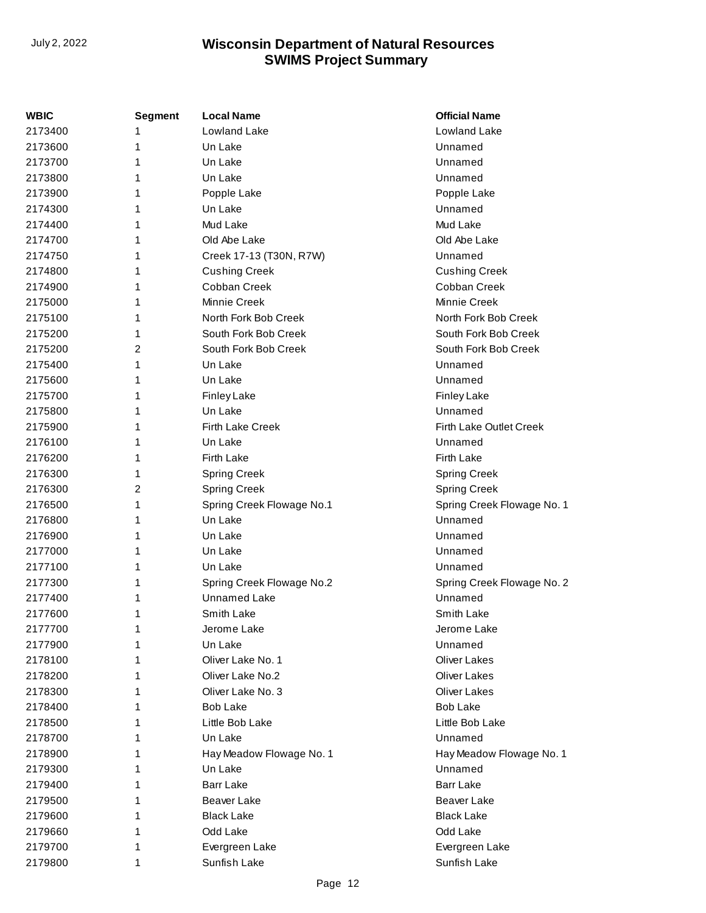| WBIC    | Segment | <b>Local Name</b>         | <b>Official Name</b>       |
|---------|---------|---------------------------|----------------------------|
| 2173400 | 1       | Lowland Lake              | Lowland Lake               |
| 2173600 | 1       | Un Lake                   | Unnamed                    |
| 2173700 | 1       | Un Lake                   | Unnamed                    |
| 2173800 | 1       | Un Lake                   | Unnamed                    |
| 2173900 | 1       | Popple Lake               | Popple Lake                |
| 2174300 | 1       | Un Lake                   | Unnamed                    |
| 2174400 | 1       | Mud Lake                  | Mud Lake                   |
| 2174700 | 1       | Old Abe Lake              | Old Abe Lake               |
| 2174750 | 1       | Creek 17-13 (T30N, R7W)   | Unnamed                    |
| 2174800 | 1       | <b>Cushing Creek</b>      | <b>Cushing Creek</b>       |
| 2174900 | 1       | Cobban Creek              | Cobban Creek               |
| 2175000 | 1       | Minnie Creek              | <b>Minnie Creek</b>        |
| 2175100 | 1       | North Fork Bob Creek      | North Fork Bob Creek       |
| 2175200 | 1       | South Fork Bob Creek      | South Fork Bob Creek       |
| 2175200 | 2       | South Fork Bob Creek      | South Fork Bob Creek       |
| 2175400 | 1       | Un Lake                   | Unnamed                    |
| 2175600 | 1       | Un Lake                   | Unnamed                    |
| 2175700 | 1       | <b>Finley Lake</b>        | <b>Finley Lake</b>         |
| 2175800 | 1       | Un Lake                   | Unnamed                    |
| 2175900 | 1       | <b>Firth Lake Creek</b>   | Firth Lake Outlet Creek    |
| 2176100 | 1       | Un Lake                   | Unnamed                    |
| 2176200 | 1       | Firth Lake                | Firth Lake                 |
| 2176300 | 1       | <b>Spring Creek</b>       | <b>Spring Creek</b>        |
| 2176300 | 2       | <b>Spring Creek</b>       | <b>Spring Creek</b>        |
| 2176500 | 1       | Spring Creek Flowage No.1 | Spring Creek Flowage No. 1 |
| 2176800 | 1       | Un Lake                   | Unnamed                    |
| 2176900 | 1       | Un Lake                   | Unnamed                    |
| 2177000 | 1       | Un Lake                   | Unnamed                    |
| 2177100 | 1       | Un Lake                   | Unnamed                    |
| 2177300 | 1       | Spring Creek Flowage No.2 | Spring Creek Flowage No. 2 |
| 2177400 | 1       | <b>Unnamed Lake</b>       | Unnamed                    |
| 2177600 | 1       | Smith Lake                | Smith Lake                 |
| 2177700 | 1       | Jerome Lake               | Jerome Lake                |
| 2177900 | 1       | Un Lake                   | Unnamed                    |
| 2178100 |         | Oliver Lake No. 1         | <b>Oliver Lakes</b>        |
| 2178200 | 1       | Oliver Lake No.2          | <b>Oliver Lakes</b>        |
| 2178300 | 1       | Oliver Lake No. 3         | <b>Oliver Lakes</b>        |
| 2178400 | 1       | <b>Bob Lake</b>           | <b>Bob Lake</b>            |
| 2178500 | 1       | Little Bob Lake           | Little Bob Lake            |
| 2178700 | 1       | Un Lake                   | Unnamed                    |
| 2178900 | 1       | Hay Meadow Flowage No. 1  | Hay Meadow Flowage No. 1   |
| 2179300 | 1       | Un Lake                   | Unnamed                    |
| 2179400 | 1       | <b>Barr Lake</b>          | <b>Barr Lake</b>           |
| 2179500 | 1       | Beaver Lake               | Beaver Lake                |
| 2179600 | 1       | <b>Black Lake</b>         | <b>Black Lake</b>          |
| 2179660 | 1       | Odd Lake                  | Odd Lake                   |
| 2179700 | 1       | Evergreen Lake            | Evergreen Lake             |
| 2179800 | 1       | Sunfish Lake              | Sunfish Lake               |
|         |         |                           |                            |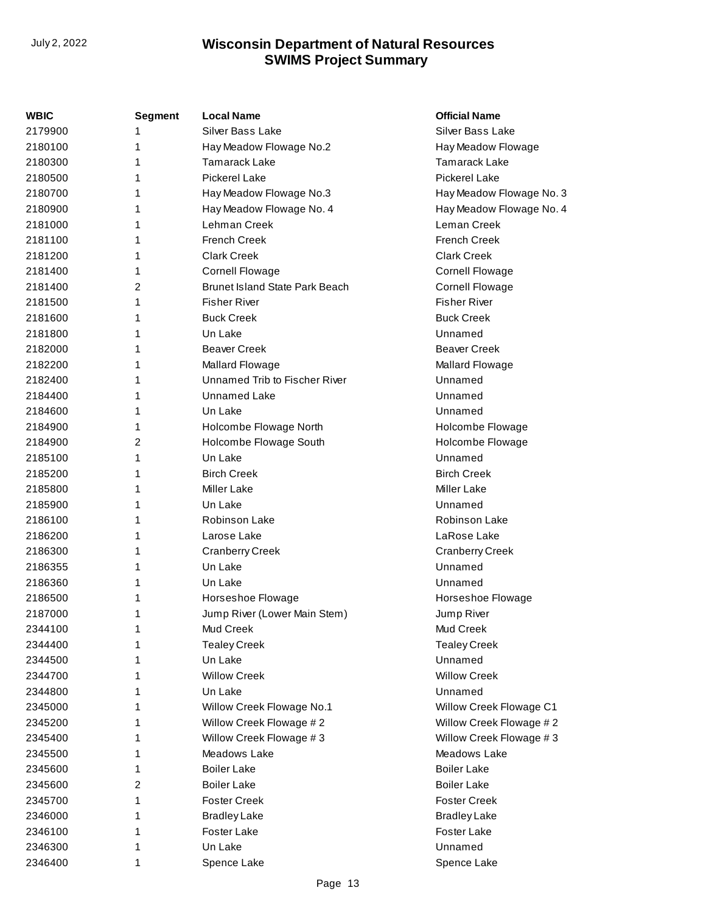| WBIC    | <b>Segment</b> | <b>Local Name</b>                     | <b>Official Name</b>     |
|---------|----------------|---------------------------------------|--------------------------|
| 2179900 | 1              | Silver Bass Lake                      | <b>Silver Bass Lake</b>  |
| 2180100 | 1              | Hay Meadow Flowage No.2               | Hay Meadow Flowage       |
| 2180300 | 1              | Tamarack Lake                         | Tamarack Lake            |
| 2180500 | 1              | <b>Pickerel Lake</b>                  | <b>Pickerel Lake</b>     |
| 2180700 | 1              | Hay Meadow Flowage No.3               | Hay Meadow Flowage No. 3 |
| 2180900 | 1              | Hay Meadow Flowage No. 4              | Hay Meadow Flowage No. 4 |
| 2181000 | 1              | Lehman Creek                          | Leman Creek              |
| 2181100 | 1              | <b>French Creek</b>                   | <b>French Creek</b>      |
| 2181200 | 1              | <b>Clark Creek</b>                    | <b>Clark Creek</b>       |
| 2181400 | 1              | <b>Cornell Flowage</b>                | <b>Cornell Flowage</b>   |
| 2181400 | 2              | <b>Brunet Island State Park Beach</b> | <b>Cornell Flowage</b>   |
| 2181500 | 1              | <b>Fisher River</b>                   | <b>Fisher River</b>      |
| 2181600 | 1              | <b>Buck Creek</b>                     | <b>Buck Creek</b>        |
| 2181800 | 1              | Un Lake                               | Unnamed                  |
| 2182000 | 1              | <b>Beaver Creek</b>                   | <b>Beaver Creek</b>      |
| 2182200 | 1              | Mallard Flowage                       | Mallard Flowage          |
| 2182400 | 1              | Unnamed Trib to Fischer River         | Unnamed                  |
| 2184400 | 1              | <b>Unnamed Lake</b>                   | Unnamed                  |
| 2184600 | 1              | Un Lake                               | Unnamed                  |
| 2184900 | 1              | Holcombe Flowage North                | Holcombe Flowage         |
| 2184900 | 2              | Holcombe Flowage South                | Holcombe Flowage         |
| 2185100 | 1              | Un Lake                               | Unnamed                  |
| 2185200 | 1              | <b>Birch Creek</b>                    | <b>Birch Creek</b>       |
| 2185800 | 1              | <b>Miller Lake</b>                    | <b>Miller Lake</b>       |
| 2185900 | 1              | Un Lake                               | Unnamed                  |
| 2186100 | 1              | Robinson Lake                         | Robinson Lake            |
| 2186200 | 1              | Larose Lake                           | LaRose Lake              |
| 2186300 | 1              | <b>Cranberry Creek</b>                | <b>Cranberry Creek</b>   |
| 2186355 | 1              | Un Lake                               | Unnamed                  |
| 2186360 | 1              | Un Lake                               | Unnamed                  |
| 2186500 | 1              | Horseshoe Flowage                     | Horseshoe Flowage        |
| 2187000 | 1              | Jump River (Lower Main Stem)          | Jump River               |
| 2344100 | 1              | Mud Creek                             | Mud Creek                |
| 2344400 | 1              | <b>Tealey Creek</b>                   | <b>Tealey Creek</b>      |
| 2344500 | 1              | Un Lake                               | Unnamed                  |
| 2344700 | 1              | <b>Willow Creek</b>                   | <b>Willow Creek</b>      |
| 2344800 | 1              | Un Lake                               | Unnamed                  |
| 2345000 | 1              | Willow Creek Flowage No.1             | Willow Creek Flowage C1  |
| 2345200 | 1              | Willow Creek Flowage #2               | Willow Creek Flowage #2  |
| 2345400 | 1              | Willow Creek Flowage #3               | Willow Creek Flowage #3  |
| 2345500 | 1              | Meadows Lake                          | Meadows Lake             |
| 2345600 | 1              | <b>Boiler Lake</b>                    | <b>Boiler Lake</b>       |
| 2345600 | 2              | <b>Boiler Lake</b>                    | <b>Boiler Lake</b>       |
| 2345700 | 1              | <b>Foster Creek</b>                   | <b>Foster Creek</b>      |
| 2346000 | 1              | <b>Bradley Lake</b>                   | <b>Bradley Lake</b>      |
| 2346100 | 1              | Foster Lake                           | Foster Lake              |
| 2346300 | 1              | Un Lake                               | Unnamed                  |
| 2346400 | 1              | Spence Lake                           | Spence Lake              |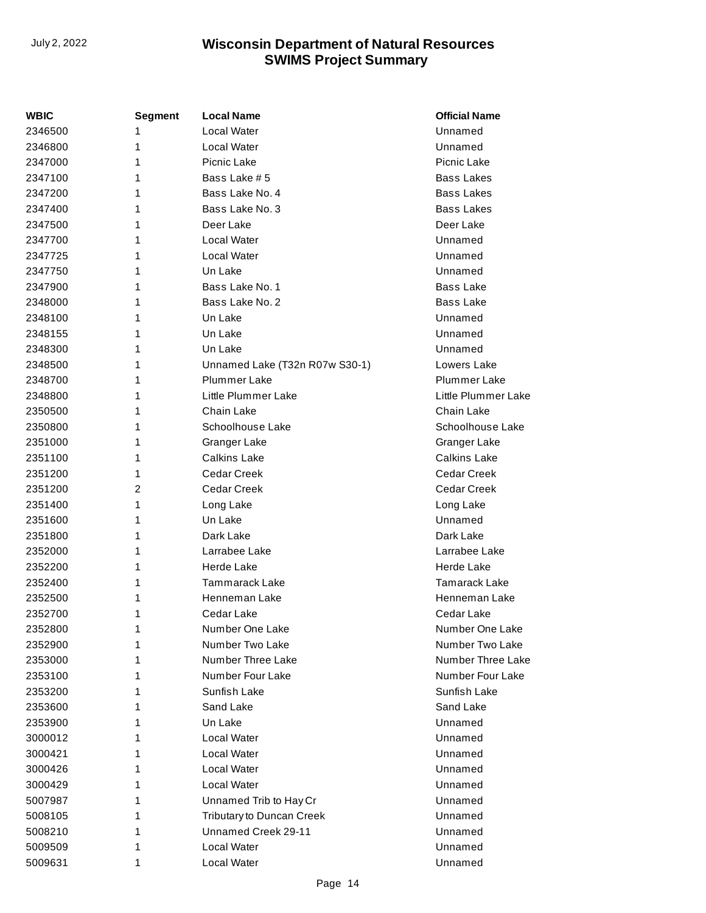| WBIC    | <b>Segment</b> | <b>Local Name</b>              | <b>Official Name</b> |
|---------|----------------|--------------------------------|----------------------|
| 2346500 | 1              | Local Water                    | Unnamed              |
| 2346800 | 1              | Local Water                    | Unnamed              |
| 2347000 | 1              | Picnic Lake                    | Picnic Lake          |
| 2347100 | 1              | Bass Lake # 5                  | <b>Bass Lakes</b>    |
| 2347200 | 1              | Bass Lake No. 4                | <b>Bass Lakes</b>    |
| 2347400 | 1              | Bass Lake No. 3                | Bass Lakes           |
| 2347500 | 1              | Deer Lake                      | Deer Lake            |
| 2347700 | 1              | Local Water                    | Unnamed              |
| 2347725 | 1              | Local Water                    | Unnamed              |
| 2347750 | 1              | Un Lake                        | Unnamed              |
| 2347900 | 1              | Bass Lake No. 1                | <b>Bass Lake</b>     |
| 2348000 | 1              | Bass Lake No. 2                | <b>Bass Lake</b>     |
| 2348100 | 1              | Un Lake                        | Unnamed              |
| 2348155 | 1              | Un Lake                        | Unnamed              |
| 2348300 | 1              | Un Lake                        | Unnamed              |
| 2348500 | 1              | Unnamed Lake (T32n R07w S30-1) | Lowers Lake          |
| 2348700 | 1              | Plummer Lake                   | Plummer Lake         |
| 2348800 | 1              | Little Plummer Lake            | Little Plummer Lake  |
| 2350500 | 1              | Chain Lake                     | Chain Lake           |
| 2350800 | 1              | Schoolhouse Lake               | Schoolhouse Lake     |
| 2351000 | 1              | Granger Lake                   | Granger Lake         |
| 2351100 | 1              | <b>Calkins Lake</b>            | <b>Calkins Lake</b>  |
| 2351200 | 1              | Cedar Creek                    | Cedar Creek          |
| 2351200 | 2              | <b>Cedar Creek</b>             | Cedar Creek          |
| 2351400 | 1              | Long Lake                      | Long Lake            |
| 2351600 | 1              | Un Lake                        | Unnamed              |
| 2351800 | 1              | Dark Lake                      | Dark Lake            |
| 2352000 | 1              | Larrabee Lake                  | Larrabee Lake        |
| 2352200 | 1              | Herde Lake                     | <b>Herde Lake</b>    |
| 2352400 | 1              | <b>Tammarack Lake</b>          | <b>Tamarack Lake</b> |
| 2352500 | 1              | Henneman Lake                  | Henneman Lake        |
| 2352700 | 1              | Cedar Lake                     | Cedar Lake           |
| 2352800 | 1              | Number One Lake                | Number One Lake      |
| 2352900 | 1              | Number Two Lake                | Number Two Lake      |
| 2353000 | 1              | Number Three Lake              | Number Three Lake    |
| 2353100 | 1              | Number Four Lake               | Number Four Lake     |
| 2353200 | 1              | Sunfish Lake                   | Sunfish Lake         |
| 2353600 | 1              | Sand Lake                      | Sand Lake            |
| 2353900 | 1              | Un Lake                        | Unnamed              |
| 3000012 | 1              | Local Water                    | Unnamed              |
| 3000421 | 1              | Local Water                    | Unnamed              |
| 3000426 | 1              | Local Water                    | Unnamed              |
| 3000429 | 1              | Local Water                    | Unnamed              |
| 5007987 | 1              | Unnamed Trib to Hay Cr         | Unnamed              |
| 5008105 | 1              | Tributary to Duncan Creek      | Unnamed              |
| 5008210 | 1              | Unnamed Creek 29-11            | Unnamed              |
| 5009509 | 1              | Local Water                    | Unnamed              |
| 5009631 | 1              | Local Water                    | Unnamed              |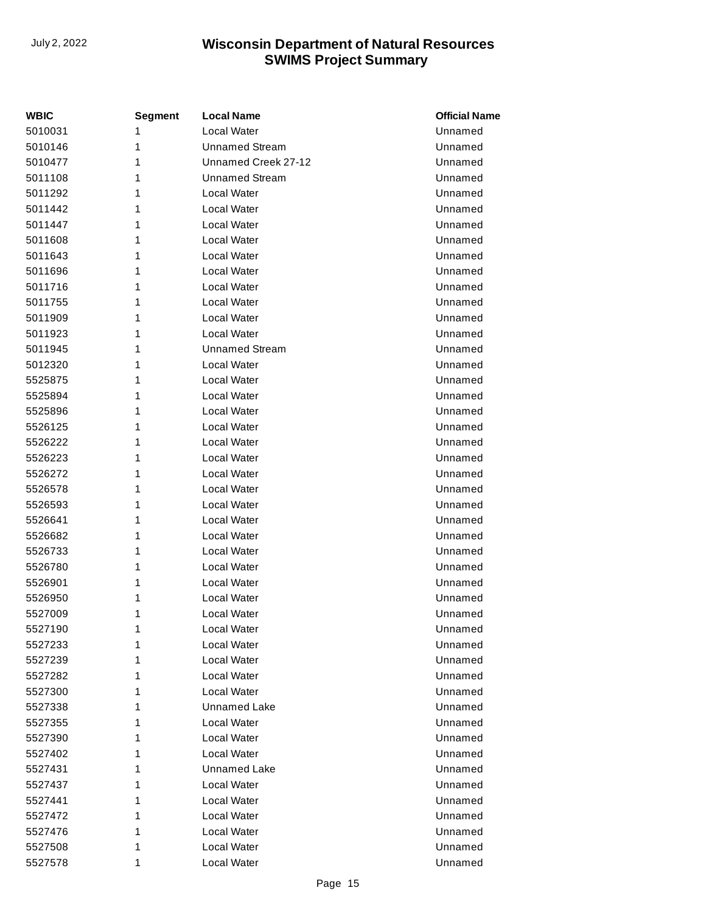| WBIC    | Segment | <b>Local Name</b>     | <b>Official Name</b> |
|---------|---------|-----------------------|----------------------|
| 5010031 | 1       | Local Water           | Unnamed              |
| 5010146 | 1       | <b>Unnamed Stream</b> | Unnamed              |
| 5010477 | 1       | Unnamed Creek 27-12   | Unnamed              |
| 5011108 | 1       | <b>Unnamed Stream</b> | Unnamed              |
| 5011292 | 1       | Local Water           | Unnamed              |
| 5011442 | 1       | Local Water           | Unnamed              |
| 5011447 | 1       | Local Water           | Unnamed              |
| 5011608 | 1       | Local Water           | Unnamed              |
| 5011643 | 1       | Local Water           | Unnamed              |
| 5011696 | 1       | Local Water           | Unnamed              |
| 5011716 | 1       | Local Water           | Unnamed              |
| 5011755 | 1       | Local Water           | Unnamed              |
| 5011909 | 1       | Local Water           | Unnamed              |
| 5011923 | 1       | Local Water           | Unnamed              |
| 5011945 | 1       | <b>Unnamed Stream</b> | Unnamed              |
| 5012320 | 1       | Local Water           | Unnamed              |
| 5525875 | 1       | Local Water           | Unnamed              |
| 5525894 | 1       | Local Water           | Unnamed              |
| 5525896 | 1       | Local Water           | Unnamed              |
| 5526125 | 1       | Local Water           | Unnamed              |
| 5526222 | 1       | Local Water           | Unnamed              |
| 5526223 | 1       | Local Water           | Unnamed              |
| 5526272 | 1       | Local Water           | Unnamed              |
| 5526578 | 1       | Local Water           | Unnamed              |
| 5526593 | 1       | Local Water           | Unnamed              |
| 5526641 | 1       | Local Water           | Unnamed              |
| 5526682 | 1       | Local Water           | Unnamed              |
| 5526733 | 1       | Local Water           | Unnamed              |
| 5526780 | 1       | Local Water           | Unnamed              |
| 5526901 | 1       | Local Water           | Unnamed              |
| 5526950 | 1       | Local Water           | Unnamed              |
| 5527009 | 1       | Local Water           | Unnamed              |
| 5527190 | 1       | Local Water           | Unnamed              |
| 5527233 | 1       | Local Water           | Unnamed              |
| 5527239 | 1       | Local Water           | Unnamed              |
| 5527282 | 1       | Local Water           | Unnamed              |
| 5527300 | 1       | Local Water           | Unnamed              |
| 5527338 | 1       | <b>Unnamed Lake</b>   | Unnamed              |
| 5527355 | 1       | Local Water           | Unnamed              |
| 5527390 | 1       | Local Water           | Unnamed              |
| 5527402 | 1       | Local Water           | Unnamed              |
| 5527431 | 1       | <b>Unnamed Lake</b>   | Unnamed              |
| 5527437 | 1       | Local Water           | Unnamed              |
| 5527441 | 1       | Local Water           | Unnamed              |
| 5527472 | 1       | Local Water           | Unnamed              |
| 5527476 | 1       | Local Water           | Unnamed              |
| 5527508 | 1       | Local Water           | Unnamed              |
| 5527578 | 1       | Local Water           | Unnamed              |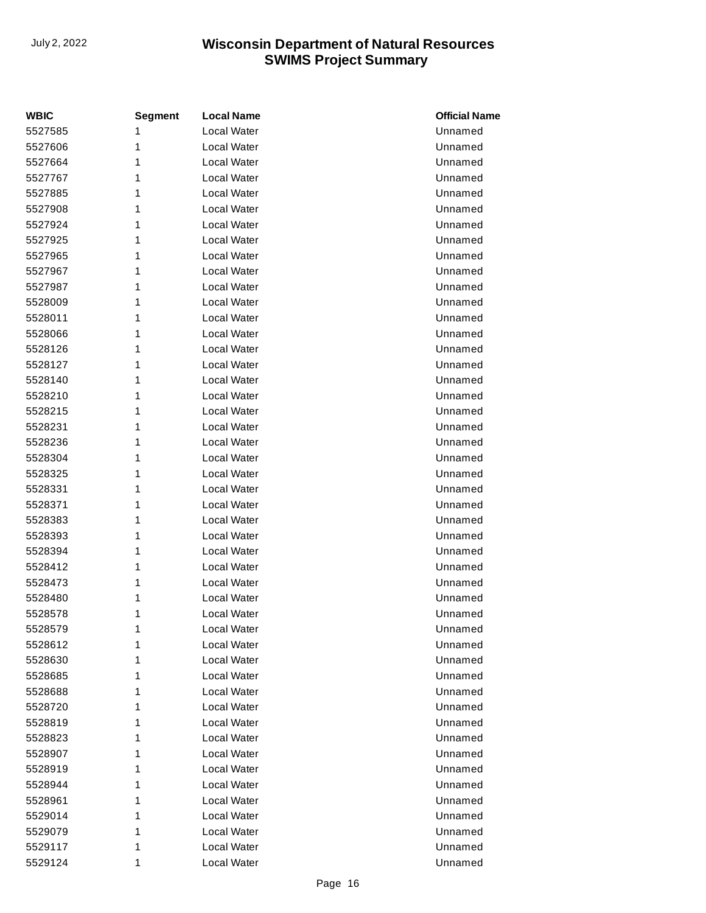| <b>WBIC</b> | <b>Segment</b> | <b>Local Name</b>  | <b>Official Name</b> |
|-------------|----------------|--------------------|----------------------|
| 5527585     | 1              | <b>Local Water</b> | Unnamed              |
| 5527606     | 1              | Local Water        | Unnamed              |
| 5527664     | 1              | Local Water        | Unnamed              |
| 5527767     | 1              | Local Water        | Unnamed              |
| 5527885     | 1              | Local Water        | Unnamed              |
| 5527908     | 1              | Local Water        | Unnamed              |
| 5527924     | 1              | Local Water        | Unnamed              |
| 5527925     | 1              | Local Water        | Unnamed              |
| 5527965     | 1              | Local Water        | Unnamed              |
| 5527967     | 1              | Local Water        | Unnamed              |
| 5527987     | 1              | Local Water        | Unnamed              |
| 5528009     | 1              | Local Water        | Unnamed              |
| 5528011     | 1              | Local Water        | Unnamed              |
| 5528066     | 1              | Local Water        | Unnamed              |
| 5528126     | 1              | Local Water        | Unnamed              |
| 5528127     | 1              | <b>Local Water</b> | Unnamed              |
| 5528140     | 1              | Local Water        | Unnamed              |
| 5528210     | 1              | Local Water        | Unnamed              |
| 5528215     | 1              | Local Water        | Unnamed              |
| 5528231     | 1              | Local Water        | Unnamed              |
| 5528236     | 1              | Local Water        | Unnamed              |
| 5528304     | 1              | Local Water        | Unnamed              |
| 5528325     | 1              | Local Water        | Unnamed              |
| 5528331     | 1              | <b>Local Water</b> | Unnamed              |
| 5528371     | 1              | Local Water        | Unnamed              |
| 5528383     | 1              | Local Water        | Unnamed              |
| 5528393     | 1              | Local Water        | Unnamed              |
| 5528394     | 1              | Local Water        | Unnamed              |
| 5528412     | 1              | Local Water        | Unnamed              |
| 5528473     | 1              | Local Water        | Unnamed              |
| 5528480     | 1              | Local Water        | Unnamed              |
| 5528578     | 1              | Local Water        | Unnamed              |
| 5528579     | 1              | Local Water        | Unnamed              |
| 5528612     | 1              | Local Water        | Unnamed              |
| 5528630     | 1              | Local Water        | Unnamed              |
| 5528685     | 1              | Local Water        | Unnamed              |
| 5528688     | 1              | Local Water        | Unnamed              |
| 5528720     | 1              | Local Water        | Unnamed              |
| 5528819     | 1              | Local Water        | Unnamed              |
| 5528823     | 1              | Local Water        | Unnamed              |
| 5528907     | 1              | Local Water        | Unnamed              |
| 5528919     | 1              | Local Water        | Unnamed              |
| 5528944     | 1              | Local Water        | Unnamed              |
| 5528961     | 1              | Local Water        | Unnamed              |
| 5529014     | 1              | Local Water        | Unnamed              |
| 5529079     | 1              | Local Water        | Unnamed              |
| 5529117     | 1              | Local Water        | Unnamed              |
| 5529124     | 1              | Local Water        | Unnamed              |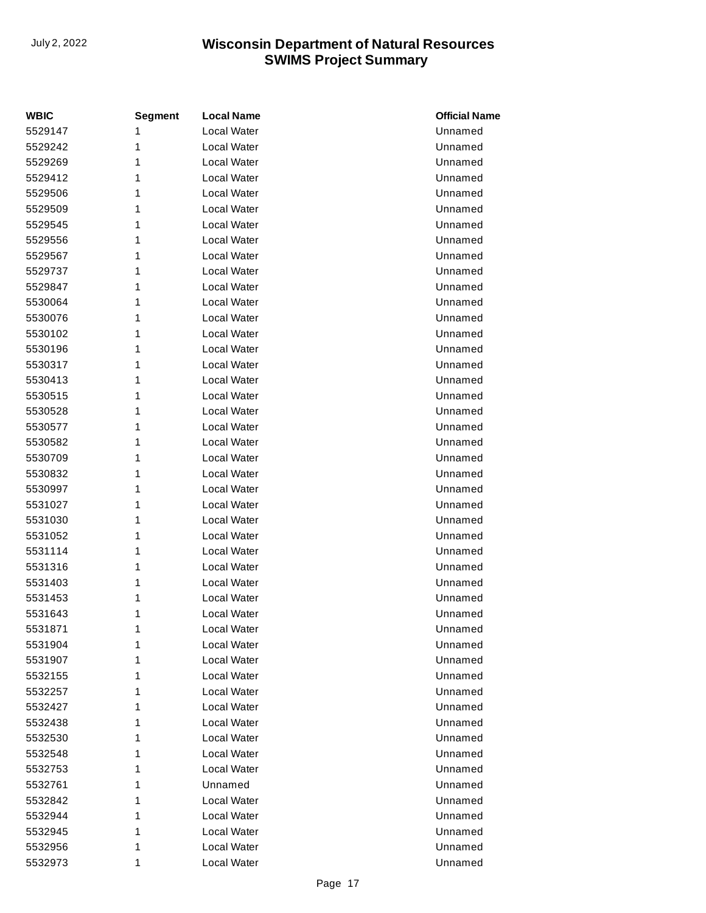| <b>WBIC</b> | <b>Segment</b> | <b>Local Name</b> | <b>Official Name</b> |
|-------------|----------------|-------------------|----------------------|
| 5529147     | 1              | Local Water       | Unnamed              |
| 5529242     | 1              | Local Water       | Unnamed              |
| 5529269     | 1              | Local Water       | Unnamed              |
| 5529412     | 1              | Local Water       | Unnamed              |
| 5529506     | 1              | Local Water       | Unnamed              |
| 5529509     | 1              | Local Water       | Unnamed              |
| 5529545     | 1              | Local Water       | Unnamed              |
| 5529556     | 1              | Local Water       | Unnamed              |
| 5529567     | 1              | Local Water       | Unnamed              |
| 5529737     | 1              | Local Water       | Unnamed              |
| 5529847     | 1              | Local Water       | Unnamed              |
| 5530064     | 1              | Local Water       | Unnamed              |
| 5530076     | 1              | Local Water       | Unnamed              |
| 5530102     | 1              | Local Water       | Unnamed              |
| 5530196     | 1              | Local Water       | Unnamed              |
| 5530317     | 1              | Local Water       | Unnamed              |
| 5530413     | 1              | Local Water       | Unnamed              |
| 5530515     | 1              | Local Water       | Unnamed              |
| 5530528     | 1              | Local Water       | Unnamed              |
| 5530577     | 1              | Local Water       | Unnamed              |
| 5530582     | 1              | Local Water       | Unnamed              |
| 5530709     | 1              | Local Water       | Unnamed              |
| 5530832     | 1              | Local Water       | Unnamed              |
| 5530997     | 1              | Local Water       | Unnamed              |
| 5531027     | 1              | Local Water       | Unnamed              |
| 5531030     | 1              | Local Water       | Unnamed              |
| 5531052     | 1              | Local Water       | Unnamed              |
| 5531114     | 1              | Local Water       | Unnamed              |
| 5531316     | 1              | Local Water       | Unnamed              |
| 5531403     | 1              | Local Water       | Unnamed              |
| 5531453     | 1              | Local Water       | Unnamed              |
| 5531643     | 1              | Local Water       | Unnamed              |
| 5531871     | 1              | Local Water       | Unnamed              |
| 5531904     | 1              | Local Water       | Unnamed              |
| 5531907     | 1              | Local Water       | Unnamed              |
| 5532155     | 1              | Local Water       | Unnamed              |
| 5532257     | 1              | Local Water       | Unnamed              |
| 5532427     | 1              | Local Water       | Unnamed              |
| 5532438     | 1              | Local Water       | Unnamed              |
| 5532530     | 1              | Local Water       | Unnamed              |
| 5532548     | 1              | Local Water       | Unnamed              |
| 5532753     | 1              | Local Water       | Unnamed              |
| 5532761     | 1              | Unnamed           | Unnamed              |
| 5532842     | 1              | Local Water       | Unnamed              |
| 5532944     | 1              | Local Water       | Unnamed              |
| 5532945     | 1              | Local Water       | Unnamed              |
| 5532956     | 1              | Local Water       | Unnamed              |
| 5532973     | 1              | Local Water       | Unnamed              |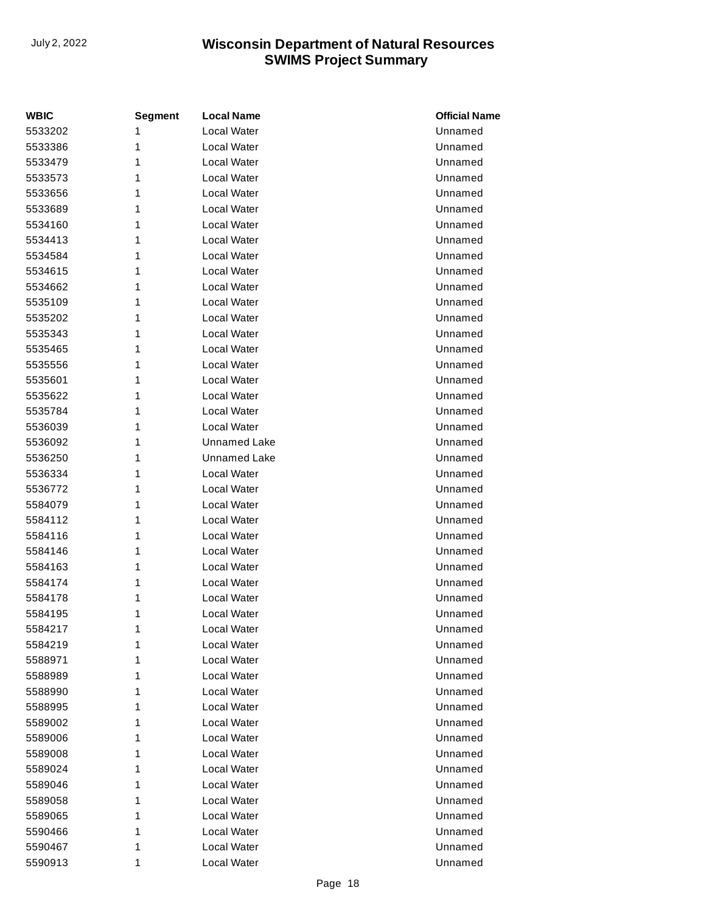| <b>WBIC</b> | <b>Segment</b> | <b>Local Name</b>   | <b>Official Name</b> |
|-------------|----------------|---------------------|----------------------|
| 5533202     | 1              | Local Water         | Unnamed              |
| 5533386     | 1              | Local Water         | Unnamed              |
| 5533479     | 1              | Local Water         | Unnamed              |
| 5533573     | 1              | Local Water         | Unnamed              |
| 5533656     | 1              | Local Water         | Unnamed              |
| 5533689     | 1              | Local Water         | Unnamed              |
| 5534160     | 1              | Local Water         | Unnamed              |
| 5534413     | 1              | Local Water         | Unnamed              |
| 5534584     | 1              | Local Water         | Unnamed              |
| 5534615     | 1              | Local Water         | Unnamed              |
| 5534662     | 1              | Local Water         | Unnamed              |
| 5535109     | 1              | Local Water         | Unnamed              |
| 5535202     | 1              | Local Water         | Unnamed              |
| 5535343     | 1              | Local Water         | Unnamed              |
| 5535465     | 1              | Local Water         | Unnamed              |
| 5535556     | 1              | Local Water         | Unnamed              |
| 5535601     | 1              | Local Water         | Unnamed              |
| 5535622     | 1              | Local Water         | Unnamed              |
| 5535784     | 1              | Local Water         | Unnamed              |
| 5536039     | 1              | Local Water         | Unnamed              |
| 5536092     | 1              | <b>Unnamed Lake</b> | Unnamed              |
| 5536250     | 1              | <b>Unnamed Lake</b> | Unnamed              |
| 5536334     | 1              | Local Water         | Unnamed              |
| 5536772     | 1              | Local Water         | Unnamed              |
| 5584079     | 1              | Local Water         | Unnamed              |
| 5584112     | 1              | Local Water         | Unnamed              |
| 5584116     | 1              | Local Water         | Unnamed              |
| 5584146     | 1              | Local Water         | Unnamed              |
| 5584163     | 1              | Local Water         | Unnamed              |
| 5584174     | 1              | Local Water         | Unnamed              |
| 5584178     | 1              | Local Water         | Unnamed              |
| 5584195     | 1              | Local Water         | Unnamed              |
| 5584217     | 1              | Local Water         | Unnamed              |
| 5584219     | 1              | Local Water         | Unnamed              |
| 5588971     | 1              | Local Water         | Unnamed              |
| 5588989     | 1              | Local Water         | Unnamed              |
| 5588990     | 1              | Local Water         | Unnamed              |
| 5588995     | 1              | Local Water         | Unnamed              |
| 5589002     | 1              | Local Water         | Unnamed              |
| 5589006     | 1              | Local Water         | Unnamed              |
| 5589008     | 1              | Local Water         | Unnamed              |
| 5589024     | 1              | Local Water         | Unnamed              |
| 5589046     | 1              | Local Water         | Unnamed              |
| 5589058     | 1              | Local Water         | Unnamed              |
| 5589065     | 1              | Local Water         | Unnamed              |
| 5590466     | 1              | Local Water         | Unnamed              |
| 5590467     | 1              | Local Water         | Unnamed              |
| 5590913     | 1              | Local Water         | Unnamed              |